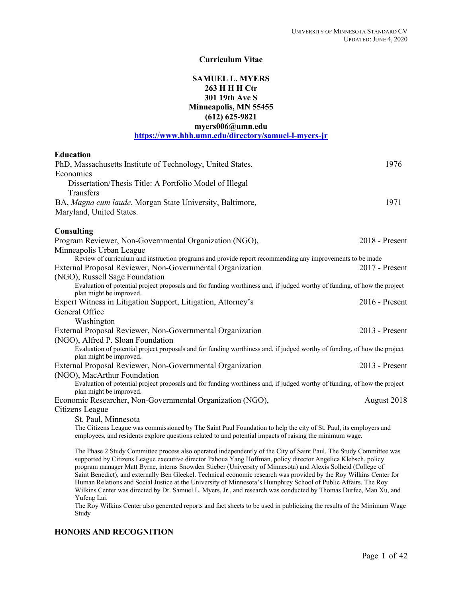# **Curriculum Vitae**

# **SAMUEL L. MYERS 263 H H H Ctr 301 19th Ave S Minneapolis, MN 55455 (612) 625-9821 myers006@umn.edu https://www.hhh.umn.edu/directory/samuel-l-myers-jr**

| <b>Education</b>                                                                                                                                                                                                                    |                |
|-------------------------------------------------------------------------------------------------------------------------------------------------------------------------------------------------------------------------------------|----------------|
| PhD, Massachusetts Institute of Technology, United States.                                                                                                                                                                          | 1976           |
| Economics                                                                                                                                                                                                                           |                |
| Dissertation/Thesis Title: A Portfolio Model of Illegal                                                                                                                                                                             |                |
| Transfers                                                                                                                                                                                                                           |                |
| BA, Magna cum laude, Morgan State University, Baltimore,                                                                                                                                                                            | 1971           |
| Maryland, United States.                                                                                                                                                                                                            |                |
| <b>Consulting</b>                                                                                                                                                                                                                   |                |
| Program Reviewer, Non-Governmental Organization (NGO),                                                                                                                                                                              | 2018 - Present |
| Minneapolis Urban League                                                                                                                                                                                                            |                |
| Review of curriculum and instruction programs and provide report recommending any improvements to be made                                                                                                                           |                |
| External Proposal Reviewer, Non-Governmental Organization                                                                                                                                                                           | 2017 - Present |
| (NGO), Russell Sage Foundation                                                                                                                                                                                                      |                |
| Evaluation of potential project proposals and for funding worthiness and, if judged worthy of funding, of how the project                                                                                                           |                |
| plan might be improved.                                                                                                                                                                                                             |                |
| Expert Witness in Litigation Support, Litigation, Attorney's                                                                                                                                                                        | 2016 - Present |
| General Office                                                                                                                                                                                                                      |                |
| Washington                                                                                                                                                                                                                          |                |
| External Proposal Reviewer, Non-Governmental Organization                                                                                                                                                                           | 2013 - Present |
| (NGO), Alfred P. Sloan Foundation                                                                                                                                                                                                   |                |
| Evaluation of potential project proposals and for funding worthiness and, if judged worthy of funding, of how the project<br>plan might be improved.                                                                                |                |
| External Proposal Reviewer, Non-Governmental Organization                                                                                                                                                                           | 2013 - Present |
| (NGO), MacArthur Foundation                                                                                                                                                                                                         |                |
| Evaluation of potential project proposals and for funding worthiness and, if judged worthy of funding, of how the project                                                                                                           |                |
| plan might be improved.                                                                                                                                                                                                             |                |
| Economic Researcher, Non-Governmental Organization (NGO),                                                                                                                                                                           | August 2018    |
| Citizens League                                                                                                                                                                                                                     |                |
| St. Paul, Minnesota                                                                                                                                                                                                                 |                |
| The Citizens League was commissioned by The Saint Paul Foundation to help the city of St. Paul, its employers and                                                                                                                   |                |
| employees, and residents explore questions related to and potential impacts of raising the minimum wage.                                                                                                                            |                |
| The Phase 2 Study Committee process also operated independently of the City of Saint Paul. The Study Committee was<br>supported by Citizens League executive director Pahoua Yang Hoffman, policy director Angelica Klebsch, policy |                |
| program manager Matt Byrne, interns Snowden Stieber (University of Minnesota) and Alexis Solheid (College of                                                                                                                        |                |
| Saint Benedict), and externally Ben Gleekel. Technical economic research was provided by the Roy Wilkins Center for                                                                                                                 |                |
| Human Relations and Social Justice at the University of Minnesota's Humphrey School of Public Affairs. The Roy                                                                                                                      |                |
| Wilkins Center was directed by Dr. Samuel L. Myers, Jr., and research was conducted by Thomas Durfee, Man Xu, and<br>Yufeng Lai.                                                                                                    |                |

The Roy Wilkins Center also generated reports and fact sheets to be used in publicizing the results of the Minimum Wage Study

# **HONORS AND RECOGNITION**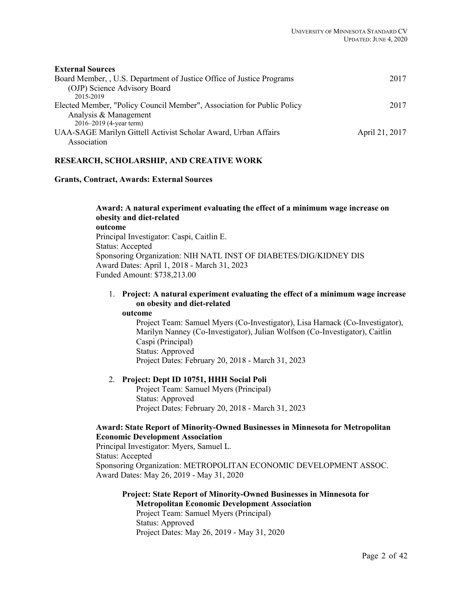| <b>External Sources</b>                                                |                |
|------------------------------------------------------------------------|----------------|
| Board Member, , U.S. Department of Justice Office of Justice Programs  | 2017           |
| (OJP) Science Advisory Board                                           |                |
| 2015-2019                                                              |                |
| Elected Member, "Policy Council Member", Association for Public Policy | 2017           |
| Analysis & Management                                                  |                |
| $2016 - 2019$ (4-year term)                                            |                |
| UAA-SAGE Marilyn Gittell Activist Scholar Award, Urban Affairs         | April 21, 2017 |
| Association                                                            |                |
|                                                                        |                |

# **RESEARCH, SCHOLARSHIP, AND CREATIVE WORK**

#### **Grants, Contract, Awards: External Sources**

**Award: A natural experiment evaluating the effect of a minimum wage increase on obesity and diet-related outcome** Principal Investigator: Caspi, Caitlin E. Status: Accepted Sponsoring Organization: NIH NATL INST OF DIABETES/DIG/KIDNEY DIS Award Dates: April 1, 2018 - March 31, 2023 Funded Amount: \$738,213.00

# 1. **Project: A natural experiment evaluating the effect of a minimum wage increase on obesity and diet-related**

**outcome**

Project Team: Samuel Myers (Co-Investigator), Lisa Harnack (Co-Investigator), Marilyn Nanney (Co-Investigator), Julian Wolfson (Co-Investigator), Caitlin Caspi (Principal) Status: Approved Project Dates: February 20, 2018 - March 31, 2023

## 2. **Project: Dept ID 10751, HHH Social Poli**

Project Team: Samuel Myers (Principal) Status: Approved Project Dates: February 20, 2018 - March 31, 2023

# **Award: State Report of Minority-Owned Businesses in Minnesota for Metropolitan Economic Development Association**

Principal Investigator: Myers, Samuel L. Status: Accepted Sponsoring Organization: METROPOLITAN ECONOMIC DEVELOPMENT ASSOC. Award Dates: May 26, 2019 - May 31, 2020

# **Project: State Report of Minority-Owned Businesses in Minnesota for Metropolitan Economic Development Association**

Project Team: Samuel Myers (Principal) Status: Approved Project Dates: May 26, 2019 - May 31, 2020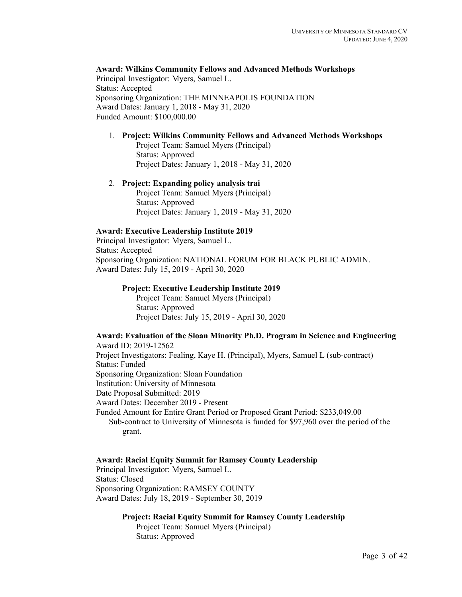**Award: Wilkins Community Fellows and Advanced Methods Workshops** Principal Investigator: Myers, Samuel L. Status: Accepted Sponsoring Organization: THE MINNEAPOLIS FOUNDATION Award Dates: January 1, 2018 - May 31, 2020 Funded Amount: \$100,000.00

## 1. **Project: Wilkins Community Fellows and Advanced Methods Workshops**

Project Team: Samuel Myers (Principal) Status: Approved Project Dates: January 1, 2018 - May 31, 2020

2. **Project: Expanding policy analysis trai** Project Team: Samuel Myers (Principal) Status: Approved Project Dates: January 1, 2019 - May 31, 2020

## **Award: Executive Leadership Institute 2019**

Principal Investigator: Myers, Samuel L. Status: Accepted Sponsoring Organization: NATIONAL FORUM FOR BLACK PUBLIC ADMIN. Award Dates: July 15, 2019 - April 30, 2020

#### **Project: Executive Leadership Institute 2019**

Project Team: Samuel Myers (Principal) Status: Approved Project Dates: July 15, 2019 - April 30, 2020

#### **Award: Evaluation of the Sloan Minority Ph.D. Program in Science and Engineering** Award ID: 2019-12562

Project Investigators: Fealing, Kaye H. (Principal), Myers, Samuel L (sub-contract) Status: Funded Sponsoring Organization: Sloan Foundation Institution: University of Minnesota Date Proposal Submitted: 2019 Award Dates: December 2019 - Present Funded Amount for Entire Grant Period or Proposed Grant Period: \$233,049.00 Sub-contract to University of Minnesota is funded for \$97,960 over the period of the grant.

#### **Award: Racial Equity Summit for Ramsey County Leadership**

Principal Investigator: Myers, Samuel L. Status: Closed Sponsoring Organization: RAMSEY COUNTY Award Dates: July 18, 2019 - September 30, 2019

#### **Project: Racial Equity Summit for Ramsey County Leadership**

Project Team: Samuel Myers (Principal) Status: Approved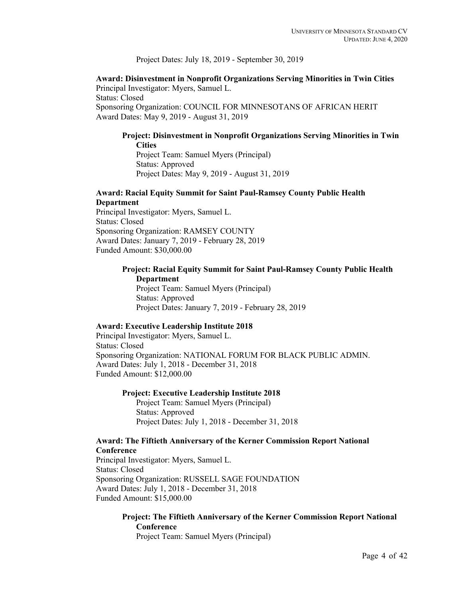Project Dates: July 18, 2019 - September 30, 2019

**Award: Disinvestment in Nonprofit Organizations Serving Minorities in Twin Cities** Principal Investigator: Myers, Samuel L. Status: Closed Sponsoring Organization: COUNCIL FOR MINNESOTANS OF AFRICAN HERIT Award Dates: May 9, 2019 - August 31, 2019

# **Project: Disinvestment in Nonprofit Organizations Serving Minorities in Twin Cities**

Project Team: Samuel Myers (Principal) Status: Approved Project Dates: May 9, 2019 - August 31, 2019

# **Award: Racial Equity Summit for Saint Paul-Ramsey County Public Health Department**

Principal Investigator: Myers, Samuel L. Status: Closed Sponsoring Organization: RAMSEY COUNTY Award Dates: January 7, 2019 - February 28, 2019 Funded Amount: \$30,000.00

# **Project: Racial Equity Summit for Saint Paul-Ramsey County Public Health Department**

Project Team: Samuel Myers (Principal) Status: Approved Project Dates: January 7, 2019 - February 28, 2019

## **Award: Executive Leadership Institute 2018**

Principal Investigator: Myers, Samuel L. Status: Closed Sponsoring Organization: NATIONAL FORUM FOR BLACK PUBLIC ADMIN. Award Dates: July 1, 2018 - December 31, 2018 Funded Amount: \$12,000.00

## **Project: Executive Leadership Institute 2018**

Project Team: Samuel Myers (Principal) Status: Approved Project Dates: July 1, 2018 - December 31, 2018

# **Award: The Fiftieth Anniversary of the Kerner Commission Report National Conference**

Principal Investigator: Myers, Samuel L. Status: Closed Sponsoring Organization: RUSSELL SAGE FOUNDATION Award Dates: July 1, 2018 - December 31, 2018 Funded Amount: \$15,000.00

# **Project: The Fiftieth Anniversary of the Kerner Commission Report National Conference**

Project Team: Samuel Myers (Principal)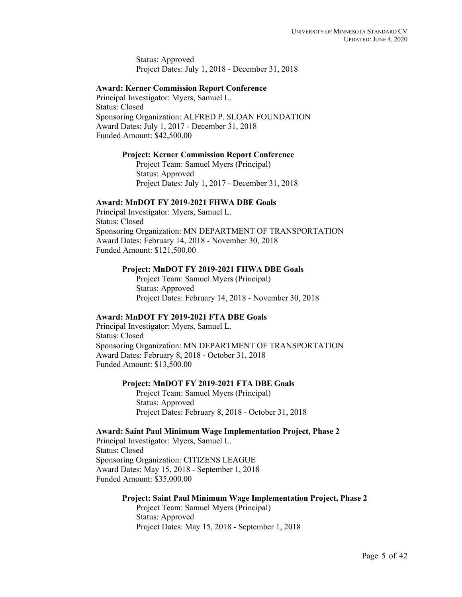Status: Approved Project Dates: July 1, 2018 - December 31, 2018

## **Award: Kerner Commission Report Conference**

Principal Investigator: Myers, Samuel L. Status: Closed Sponsoring Organization: ALFRED P. SLOAN FOUNDATION Award Dates: July 1, 2017 - December 31, 2018 Funded Amount: \$42,500.00

#### **Project: Kerner Commission Report Conference**

Project Team: Samuel Myers (Principal) Status: Approved Project Dates: July 1, 2017 - December 31, 2018

#### **Award: MnDOT FY 2019-2021 FHWA DBE Goals**

Principal Investigator: Myers, Samuel L. Status: Closed Sponsoring Organization: MN DEPARTMENT OF TRANSPORTATION Award Dates: February 14, 2018 - November 30, 2018 Funded Amount: \$121,500.00

# **Project: MnDOT FY 2019-2021 FHWA DBE Goals**

Project Team: Samuel Myers (Principal) Status: Approved Project Dates: February 14, 2018 - November 30, 2018

#### **Award: MnDOT FY 2019-2021 FTA DBE Goals**

Principal Investigator: Myers, Samuel L. Status: Closed Sponsoring Organization: MN DEPARTMENT OF TRANSPORTATION Award Dates: February 8, 2018 - October 31, 2018 Funded Amount: \$13,500.00

#### **Project: MnDOT FY 2019-2021 FTA DBE Goals**

Project Team: Samuel Myers (Principal) Status: Approved Project Dates: February 8, 2018 - October 31, 2018

#### **Award: Saint Paul Minimum Wage Implementation Project, Phase 2**

Principal Investigator: Myers, Samuel L. Status: Closed Sponsoring Organization: CITIZENS LEAGUE Award Dates: May 15, 2018 - September 1, 2018 Funded Amount: \$35,000.00

# **Project: Saint Paul Minimum Wage Implementation Project, Phase 2**

Project Team: Samuel Myers (Principal) Status: Approved Project Dates: May 15, 2018 - September 1, 2018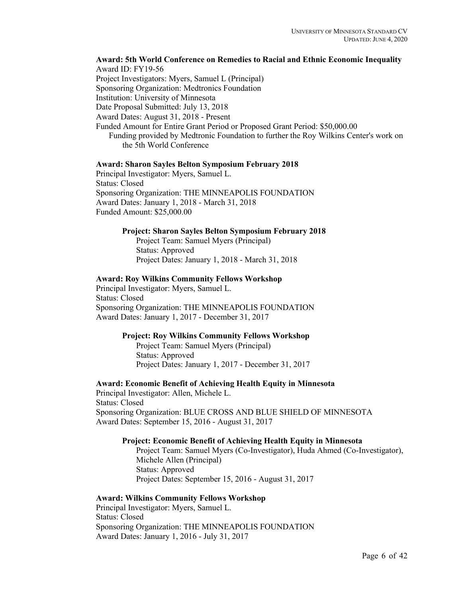**Award: 5th World Conference on Remedies to Racial and Ethnic Economic Inequality** Award ID: FY19-56 Project Investigators: Myers, Samuel L (Principal) Sponsoring Organization: Medtronics Foundation Institution: University of Minnesota Date Proposal Submitted: July 13, 2018 Award Dates: August 31, 2018 - Present Funded Amount for Entire Grant Period or Proposed Grant Period: \$50,000.00 Funding provided by Medtronic Foundation to further the Roy Wilkins Center's work on the 5th World Conference

## **Award: Sharon Sayles Belton Symposium February 2018**

Principal Investigator: Myers, Samuel L. Status: Closed Sponsoring Organization: THE MINNEAPOLIS FOUNDATION Award Dates: January 1, 2018 - March 31, 2018 Funded Amount: \$25,000.00

## **Project: Sharon Sayles Belton Symposium February 2018**

Project Team: Samuel Myers (Principal) Status: Approved Project Dates: January 1, 2018 - March 31, 2018

## **Award: Roy Wilkins Community Fellows Workshop**

Principal Investigator: Myers, Samuel L. Status: Closed Sponsoring Organization: THE MINNEAPOLIS FOUNDATION Award Dates: January 1, 2017 - December 31, 2017

# **Project: Roy Wilkins Community Fellows Workshop**

Project Team: Samuel Myers (Principal) Status: Approved Project Dates: January 1, 2017 - December 31, 2017

# **Award: Economic Benefit of Achieving Health Equity in Minnesota**

Principal Investigator: Allen, Michele L. Status: Closed Sponsoring Organization: BLUE CROSS AND BLUE SHIELD OF MINNESOTA Award Dates: September 15, 2016 - August 31, 2017

# **Project: Economic Benefit of Achieving Health Equity in Minnesota**

Project Team: Samuel Myers (Co-Investigator), Huda Ahmed (Co-Investigator), Michele Allen (Principal) Status: Approved Project Dates: September 15, 2016 - August 31, 2017

# **Award: Wilkins Community Fellows Workshop**

Principal Investigator: Myers, Samuel L. Status: Closed Sponsoring Organization: THE MINNEAPOLIS FOUNDATION Award Dates: January 1, 2016 - July 31, 2017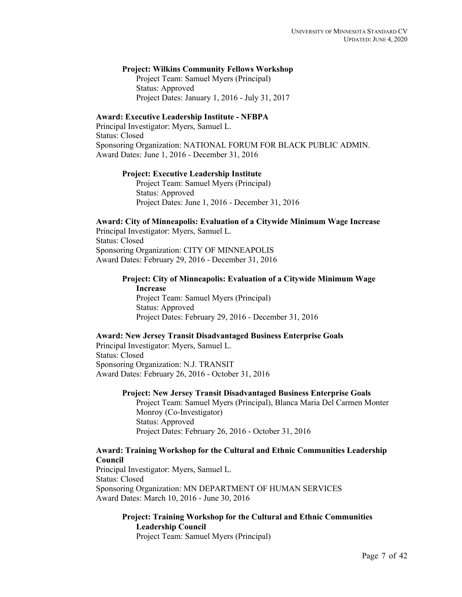#### **Project: Wilkins Community Fellows Workshop**

Project Team: Samuel Myers (Principal) Status: Approved Project Dates: January 1, 2016 - July 31, 2017

#### **Award: Executive Leadership Institute - NFBPA**

Principal Investigator: Myers, Samuel L. Status: Closed Sponsoring Organization: NATIONAL FORUM FOR BLACK PUBLIC ADMIN. Award Dates: June 1, 2016 - December 31, 2016

#### **Project: Executive Leadership Institute**

Project Team: Samuel Myers (Principal) Status: Approved Project Dates: June 1, 2016 - December 31, 2016

#### **Award: City of Minneapolis: Evaluation of a Citywide Minimum Wage Increase** Principal Investigator: Myers, Samuel L.

Status: Closed Sponsoring Organization: CITY OF MINNEAPOLIS Award Dates: February 29, 2016 - December 31, 2016

# **Project: City of Minneapolis: Evaluation of a Citywide Minimum Wage Increase**

Project Team: Samuel Myers (Principal) Status: Approved Project Dates: February 29, 2016 - December 31, 2016

#### **Award: New Jersey Transit Disadvantaged Business Enterprise Goals**

Principal Investigator: Myers, Samuel L. Status: Closed Sponsoring Organization: N.J. TRANSIT Award Dates: February 26, 2016 - October 31, 2016

#### **Project: New Jersey Transit Disadvantaged Business Enterprise Goals**

Project Team: Samuel Myers (Principal), Blanca Maria Del Carmen Monter Monroy (Co-Investigator) Status: Approved Project Dates: February 26, 2016 - October 31, 2016

# **Award: Training Workshop for the Cultural and Ethnic Communities Leadership Council**

Principal Investigator: Myers, Samuel L. Status: Closed Sponsoring Organization: MN DEPARTMENT OF HUMAN SERVICES Award Dates: March 10, 2016 - June 30, 2016

# **Project: Training Workshop for the Cultural and Ethnic Communities Leadership Council**

Project Team: Samuel Myers (Principal)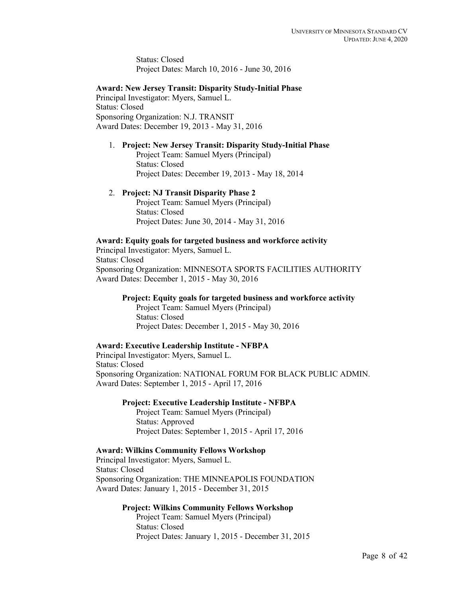Status: Closed Project Dates: March 10, 2016 - June 30, 2016

#### **Award: New Jersey Transit: Disparity Study-Initial Phase**

Principal Investigator: Myers, Samuel L. Status: Closed Sponsoring Organization: N.J. TRANSIT Award Dates: December 19, 2013 - May 31, 2016

#### 1. **Project: New Jersey Transit: Disparity Study-Initial Phase**

Project Team: Samuel Myers (Principal) Status: Closed Project Dates: December 19, 2013 - May 18, 2014

#### 2. **Project: NJ Transit Disparity Phase 2**

Project Team: Samuel Myers (Principal) Status: Closed Project Dates: June 30, 2014 - May 31, 2016

# **Award: Equity goals for targeted business and workforce activity**

Principal Investigator: Myers, Samuel L. Status: Closed Sponsoring Organization: MINNESOTA SPORTS FACILITIES AUTHORITY Award Dates: December 1, 2015 - May 30, 2016

#### **Project: Equity goals for targeted business and workforce activity**

Project Team: Samuel Myers (Principal) Status: Closed Project Dates: December 1, 2015 - May 30, 2016

#### **Award: Executive Leadership Institute - NFBPA**

Principal Investigator: Myers, Samuel L. Status: Closed Sponsoring Organization: NATIONAL FORUM FOR BLACK PUBLIC ADMIN. Award Dates: September 1, 2015 - April 17, 2016

#### **Project: Executive Leadership Institute - NFBPA**

Project Team: Samuel Myers (Principal) Status: Approved Project Dates: September 1, 2015 - April 17, 2016

## **Award: Wilkins Community Fellows Workshop**

Principal Investigator: Myers, Samuel L. Status: Closed Sponsoring Organization: THE MINNEAPOLIS FOUNDATION Award Dates: January 1, 2015 - December 31, 2015

## **Project: Wilkins Community Fellows Workshop**

Project Team: Samuel Myers (Principal) Status: Closed Project Dates: January 1, 2015 - December 31, 2015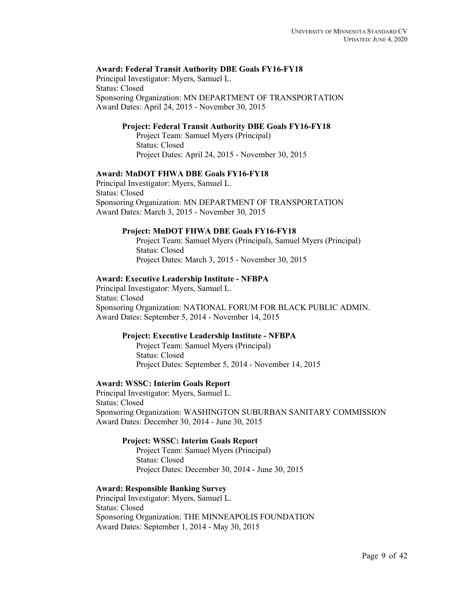# **Award: Federal Transit Authority DBE Goals FY16-FY18**

Principal Investigator: Myers, Samuel L. Status: Closed Sponsoring Organization: MN DEPARTMENT OF TRANSPORTATION Award Dates: April 24, 2015 - November 30, 2015

# **Project: Federal Transit Authority DBE Goals FY16-FY18**

Project Team: Samuel Myers (Principal) Status: Closed Project Dates: April 24, 2015 - November 30, 2015

## **Award: MnDOT FHWA DBE Goals FY16-FY18**

Principal Investigator: Myers, Samuel L. Status: Closed Sponsoring Organization: MN DEPARTMENT OF TRANSPORTATION Award Dates: March 3, 2015 - November 30, 2015

#### **Project: MnDOT FHWA DBE Goals FY16-FY18**

Project Team: Samuel Myers (Principal), Samuel Myers (Principal) Status: Closed Project Dates: March 3, 2015 - November 30, 2015

#### **Award: Executive Leadership Institute - NFBPA**

Principal Investigator: Myers, Samuel L. Status: Closed Sponsoring Organization: NATIONAL FORUM FOR BLACK PUBLIC ADMIN. Award Dates: September 5, 2014 - November 14, 2015

## **Project: Executive Leadership Institute - NFBPA**

Project Team: Samuel Myers (Principal) Status: Closed Project Dates: September 5, 2014 - November 14, 2015

#### **Award: WSSC: Interim Goals Report**

Principal Investigator: Myers, Samuel L. Status: Closed Sponsoring Organization: WASHINGTON SUBURBAN SANITARY COMMISSION Award Dates: December 30, 2014 - June 30, 2015

## **Project: WSSC: Interim Goals Report**

Project Team: Samuel Myers (Principal) Status: Closed Project Dates: December 30, 2014 - June 30, 2015

## **Award: Responsible Banking Survey**

Principal Investigator: Myers, Samuel L. Status: Closed Sponsoring Organization: THE MINNEAPOLIS FOUNDATION Award Dates: September 1, 2014 - May 30, 2015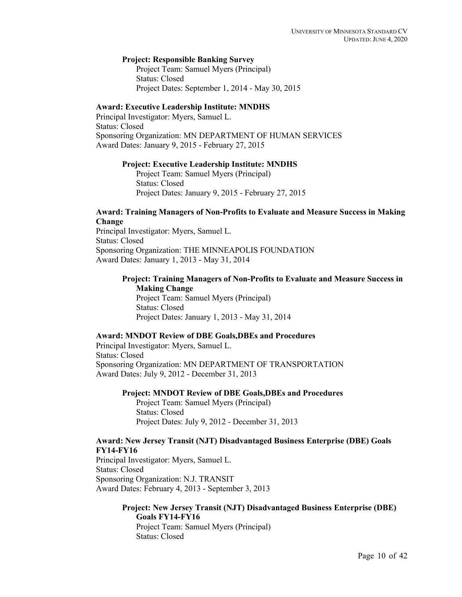#### **Project: Responsible Banking Survey**

Project Team: Samuel Myers (Principal) Status: Closed Project Dates: September 1, 2014 - May 30, 2015

## **Award: Executive Leadership Institute: MNDHS**

Principal Investigator: Myers, Samuel L. Status: Closed Sponsoring Organization: MN DEPARTMENT OF HUMAN SERVICES Award Dates: January 9, 2015 - February 27, 2015

#### **Project: Executive Leadership Institute: MNDHS**

Project Team: Samuel Myers (Principal) Status: Closed Project Dates: January 9, 2015 - February 27, 2015

#### **Award: Training Managers of Non-Profits to Evaluate and Measure Success in Making Change**

Principal Investigator: Myers, Samuel L. Status: Closed Sponsoring Organization: THE MINNEAPOLIS FOUNDATION Award Dates: January 1, 2013 - May 31, 2014

# **Project: Training Managers of Non-Profits to Evaluate and Measure Success in Making Change**

Project Team: Samuel Myers (Principal) Status: Closed Project Dates: January 1, 2013 - May 31, 2014

## **Award: MNDOT Review of DBE Goals,DBEs and Procedures**

Principal Investigator: Myers, Samuel L. Status: Closed Sponsoring Organization: MN DEPARTMENT OF TRANSPORTATION Award Dates: July 9, 2012 - December 31, 2013

**Project: MNDOT Review of DBE Goals,DBEs and Procedures**

Project Team: Samuel Myers (Principal) Status: Closed Project Dates: July 9, 2012 - December 31, 2013

# **Award: New Jersey Transit (NJT) Disadvantaged Business Enterprise (DBE) Goals FY14-FY16**

Principal Investigator: Myers, Samuel L. Status: Closed Sponsoring Organization: N.J. TRANSIT Award Dates: February 4, 2013 - September 3, 2013

# **Project: New Jersey Transit (NJT) Disadvantaged Business Enterprise (DBE) Goals FY14-FY16**

Project Team: Samuel Myers (Principal) Status: Closed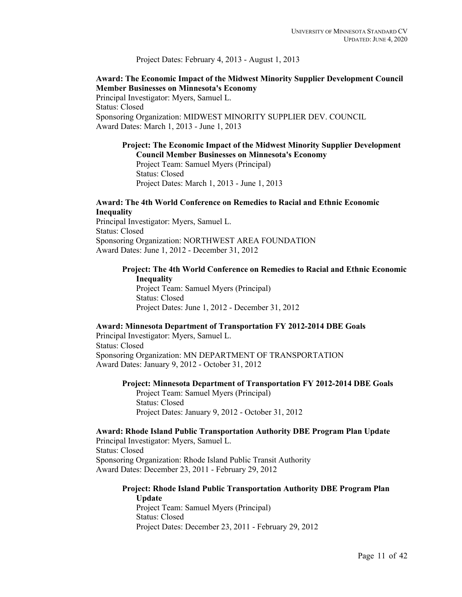## Project Dates: February 4, 2013 - August 1, 2013

# **Award: The Economic Impact of the Midwest Minority Supplier Development Council Member Businesses on Minnesota's Economy**

Principal Investigator: Myers, Samuel L. Status: Closed Sponsoring Organization: MIDWEST MINORITY SUPPLIER DEV. COUNCIL Award Dates: March 1, 2013 - June 1, 2013

# **Project: The Economic Impact of the Midwest Minority Supplier Development Council Member Businesses on Minnesota's Economy**

Project Team: Samuel Myers (Principal) Status: Closed Project Dates: March 1, 2013 - June 1, 2013

# **Award: The 4th World Conference on Remedies to Racial and Ethnic Economic Inequality**

Principal Investigator: Myers, Samuel L. Status: Closed Sponsoring Organization: NORTHWEST AREA FOUNDATION Award Dates: June 1, 2012 - December 31, 2012

# **Project: The 4th World Conference on Remedies to Racial and Ethnic Economic Inequality**

Project Team: Samuel Myers (Principal) Status: Closed Project Dates: June 1, 2012 - December 31, 2012

## **Award: Minnesota Department of Transportation FY 2012-2014 DBE Goals**

Principal Investigator: Myers, Samuel L. Status: Closed Sponsoring Organization: MN DEPARTMENT OF TRANSPORTATION Award Dates: January 9, 2012 - October 31, 2012

## **Project: Minnesota Department of Transportation FY 2012-2014 DBE Goals**

Project Team: Samuel Myers (Principal) Status: Closed Project Dates: January 9, 2012 - October 31, 2012

#### **Award: Rhode Island Public Transportation Authority DBE Program Plan Update** Principal Investigator: Myers, Samuel L.

Status: Closed Sponsoring Organization: Rhode Island Public Transit Authority Award Dates: December 23, 2011 - February 29, 2012

#### **Project: Rhode Island Public Transportation Authority DBE Program Plan Update**

Project Team: Samuel Myers (Principal) Status: Closed Project Dates: December 23, 2011 - February 29, 2012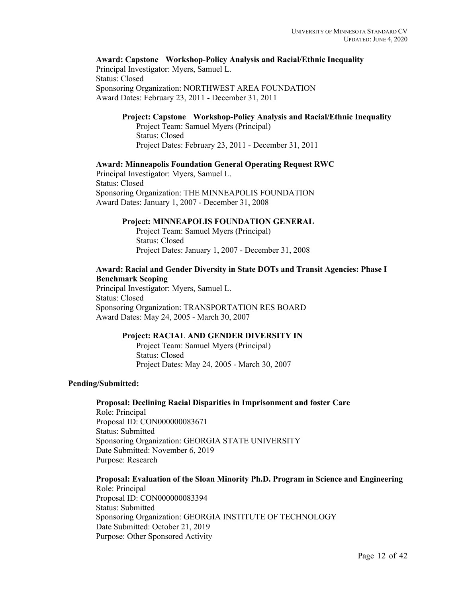# **Award: Capstone Workshop-Policy Analysis and Racial/Ethnic Inequality**

Principal Investigator: Myers, Samuel L. Status: Closed Sponsoring Organization: NORTHWEST AREA FOUNDATION Award Dates: February 23, 2011 - December 31, 2011

# **Project: Capstone Workshop-Policy Analysis and Racial/Ethnic Inequality**

Project Team: Samuel Myers (Principal) Status: Closed Project Dates: February 23, 2011 - December 31, 2011

#### **Award: Minneapolis Foundation General Operating Request RWC**

Principal Investigator: Myers, Samuel L. Status: Closed Sponsoring Organization: THE MINNEAPOLIS FOUNDATION Award Dates: January 1, 2007 - December 31, 2008

#### **Project: MINNEAPOLIS FOUNDATION GENERAL**

Project Team: Samuel Myers (Principal) Status: Closed Project Dates: January 1, 2007 - December 31, 2008

# **Award: Racial and Gender Diversity in State DOTs and Transit Agencies: Phase I Benchmark Scoping**

Principal Investigator: Myers, Samuel L. Status: Closed Sponsoring Organization: TRANSPORTATION RES BOARD Award Dates: May 24, 2005 - March 30, 2007

# **Project: RACIAL AND GENDER DIVERSITY IN**

Project Team: Samuel Myers (Principal) Status: Closed Project Dates: May 24, 2005 - March 30, 2007

## **Pending/Submitted:**

**Proposal: Declining Racial Disparities in Imprisonment and foster Care** Role: Principal Proposal ID: CON000000083671 Status: Submitted Sponsoring Organization: GEORGIA STATE UNIVERSITY Date Submitted: November 6, 2019 Purpose: Research

**Proposal: Evaluation of the Sloan Minority Ph.D. Program in Science and Engineering** Role: Principal Proposal ID: CON000000083394 Status: Submitted Sponsoring Organization: GEORGIA INSTITUTE OF TECHNOLOGY Date Submitted: October 21, 2019 Purpose: Other Sponsored Activity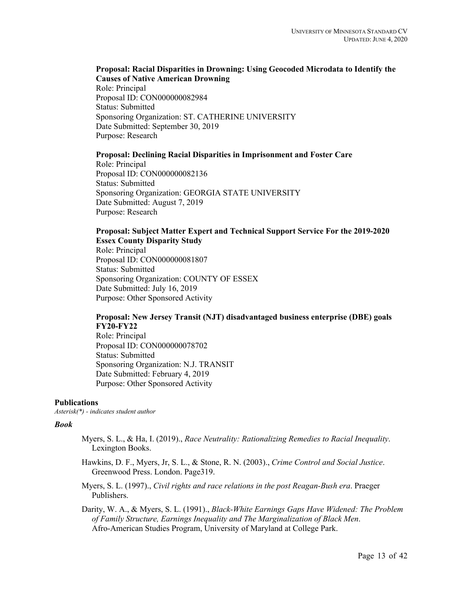# **Proposal: Racial Disparities in Drowning: Using Geocoded Microdata to Identify the Causes of Native American Drowning**

Role: Principal Proposal ID: CON000000082984 Status: Submitted Sponsoring Organization: ST. CATHERINE UNIVERSITY Date Submitted: September 30, 2019 Purpose: Research

## **Proposal: Declining Racial Disparities in Imprisonment and Foster Care**

Role: Principal Proposal ID: CON000000082136 Status: Submitted Sponsoring Organization: GEORGIA STATE UNIVERSITY Date Submitted: August 7, 2019 Purpose: Research

# **Proposal: Subject Matter Expert and Technical Support Service For the 2019-2020 Essex County Disparity Study**

Role: Principal Proposal ID: CON000000081807 Status: Submitted Sponsoring Organization: COUNTY OF ESSEX Date Submitted: July 16, 2019 Purpose: Other Sponsored Activity

# **Proposal: New Jersey Transit (NJT) disadvantaged business enterprise (DBE) goals FY20-FY22**

Role: Principal Proposal ID: CON000000078702 Status: Submitted Sponsoring Organization: N.J. TRANSIT Date Submitted: February 4, 2019 Purpose: Other Sponsored Activity

## **Publications**

*Asterisk(\*) - indicates student author*

## *Book*

- Myers, S. L., & Ha, I. (2019)., *Race Neutrality: Rationalizing Remedies to Racial Inequality*. Lexington Books.
- Hawkins, D. F., Myers, Jr, S. L., & Stone, R. N. (2003)., *Crime Control and Social Justice*. Greenwood Press. London. Page319.
- Myers, S. L. (1997)., *Civil rights and race relations in the post Reagan-Bush era*. Praeger Publishers.
- Darity, W. A., & Myers, S. L. (1991)., *Black-White Earnings Gaps Have Widened: The Problem of Family Structure, Earnings Inequality and The Marginalization of Black Men*. Afro-American Studies Program, University of Maryland at College Park.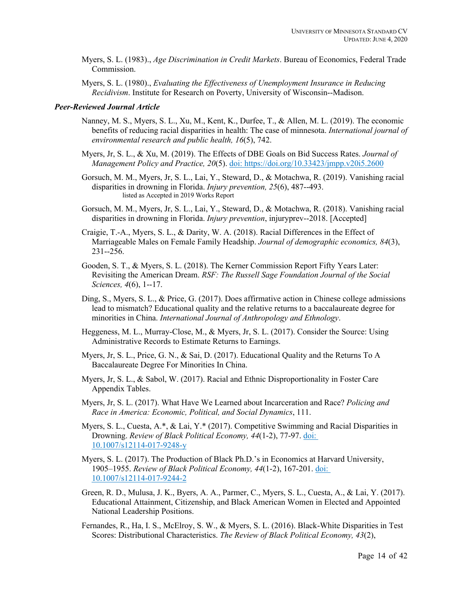- Myers, S. L. (1983)., *Age Discrimination in Credit Markets*. Bureau of Economics, Federal Trade Commission.
- Myers, S. L. (1980)., *Evaluating the Effectiveness of Unemployment Insurance in Reducing Recidivism*. Institute for Research on Poverty, University of Wisconsin--Madison.

## *Peer-Reviewed Journal Article*

- Nanney, M. S., Myers, S. L., Xu, M., Kent, K., Durfee, T., & Allen, M. L. (2019). The economic benefits of reducing racial disparities in health: The case of minnesota. *International journal of environmental research and public health, 16*(5), 742.
- Myers, Jr, S. L., & Xu, M. (2019). The Effects of DBE Goals on Bid Success Rates. *Journal of Management Policy and Practice, 20*(5). doi: https://doi.org/10.33423/jmpp.v20i5.2600
- Gorsuch, M. M., Myers, Jr, S. L., Lai, Y., Steward, D., & Motachwa, R. (2019). Vanishing racial disparities in drowning in Florida. *Injury prevention, 25*(6), 487--493. listed as Accepted in 2019 Works Report
- Gorsuch, M. M., Myers, Jr, S. L., Lai, Y., Steward, D., & Motachwa, R. (2018). Vanishing racial disparities in drowning in Florida. *Injury prevention*, injuryprev--2018. [Accepted]
- Craigie, T.-A., Myers, S. L., & Darity, W. A. (2018). Racial Differences in the Effect of Marriageable Males on Female Family Headship. *Journal of demographic economics, 84*(3), 231--256.
- Gooden, S. T., & Myers, S. L. (2018). The Kerner Commission Report Fifty Years Later: Revisiting the American Dream. *RSF: The Russell Sage Foundation Journal of the Social Sciences, 4*(6), 1--17.
- Ding, S., Myers, S. L., & Price, G. (2017). Does affirmative action in Chinese college admissions lead to mismatch? Educational quality and the relative returns to a baccalaureate degree for minorities in China. *International Journal of Anthropology and Ethnology*.
- Heggeness, M. L., Murray-Close, M., & Myers, Jr, S. L. (2017). Consider the Source: Using Administrative Records to Estimate Returns to Earnings.
- Myers, Jr, S. L., Price, G. N., & Sai, D. (2017). Educational Quality and the Returns To A Baccalaureate Degree For Minorities In China.
- Myers, Jr, S. L., & Sabol, W. (2017). Racial and Ethnic Disproportionality in Foster Care Appendix Tables.
- Myers, Jr, S. L. (2017). What Have We Learned about Incarceration and Race? *Policing and Race in America: Economic, Political, and Social Dynamics*, 111.
- Myers, S. L., Cuesta, A.\*, & Lai, Y.\* (2017). Competitive Swimming and Racial Disparities in Drowning. *Review of Black Political Economy, 44*(1-2), 77-97. doi: 10.1007/s12114-017-9248-y
- Myers, S. L. (2017). The Production of Black Ph.D.'s in Economics at Harvard University, 1905–1955. *Review of Black Political Economy, 44*(1-2), 167-201. doi: 10.1007/s12114-017-9244-2
- Green, R. D., Mulusa, J. K., Byers, A. A., Parmer, C., Myers, S. L., Cuesta, A., & Lai, Y. (2017). Educational Attainment, Citizenship, and Black American Women in Elected and Appointed National Leadership Positions.
- Fernandes, R., Ha, I. S., McElroy, S. W., & Myers, S. L. (2016). Black-White Disparities in Test Scores: Distributional Characteristics. *The Review of Black Political Economy, 43*(2),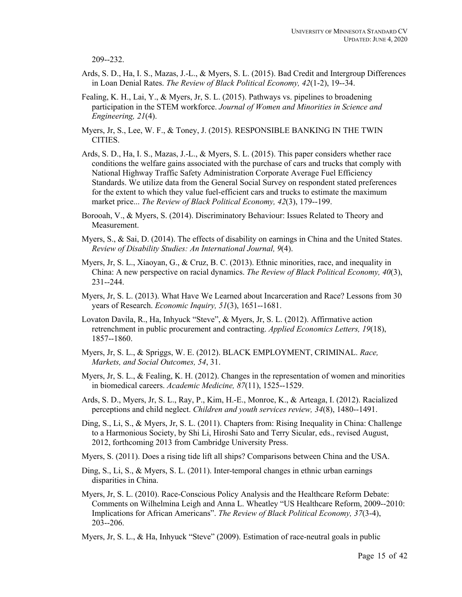209--232.

- Ards, S. D., Ha, I. S., Mazas, J.-L., & Myers, S. L. (2015). Bad Credit and Intergroup Differences in Loan Denial Rates. *The Review of Black Political Economy, 42*(1-2), 19--34.
- Fealing, K. H., Lai, Y., & Myers, Jr, S. L. (2015). Pathways vs. pipelines to broadening participation in the STEM workforce. *Journal of Women and Minorities in Science and Engineering, 21*(4).
- Myers, Jr, S., Lee, W. F., & Toney, J. (2015). RESPONSIBLE BANKING IN THE TWIN CITIES.
- Ards, S. D., Ha, I. S., Mazas, J.-L., & Myers, S. L. (2015). This paper considers whether race conditions the welfare gains associated with the purchase of cars and trucks that comply with National Highway Traffic Safety Administration Corporate Average Fuel Efficiency Standards. We utilize data from the General Social Survey on respondent stated preferences for the extent to which they value fuel-efficient cars and trucks to estimate the maximum market price... *The Review of Black Political Economy, 42*(3), 179--199.
- Borooah, V., & Myers, S. (2014). Discriminatory Behaviour: Issues Related to Theory and Measurement.
- Myers, S., & Sai, D. (2014). The effects of disability on earnings in China and the United States. *Review of Disability Studies: An International Journal, 9*(4).
- Myers, Jr, S. L., Xiaoyan, G., & Cruz, B. C. (2013). Ethnic minorities, race, and inequality in China: A new perspective on racial dynamics. *The Review of Black Political Economy, 40*(3), 231--244.
- Myers, Jr, S. L. (2013). What Have We Learned about Incarceration and Race? Lessons from 30 years of Research. *Economic Inquiry, 51*(3), 1651--1681.
- Lovaton Davila, R., Ha, Inhyuck "Steve", & Myers, Jr, S. L. (2012). Affirmative action retrenchment in public procurement and contracting. *Applied Economics Letters, 19*(18), 1857--1860.
- Myers, Jr, S. L., & Spriggs, W. E. (2012). BLACK EMPLOYMENT, CRIMINAL. *Race, Markets, and Social Outcomes, 54*, 31.
- Myers, Jr, S. L., & Fealing, K. H. (2012). Changes in the representation of women and minorities in biomedical careers. *Academic Medicine, 87*(11), 1525--1529.
- Ards, S. D., Myers, Jr, S. L., Ray, P., Kim, H.-E., Monroe, K., & Arteaga, I. (2012). Racialized perceptions and child neglect. *Children and youth services review, 34*(8), 1480--1491.
- Ding, S., Li, S., & Myers, Jr, S. L. (2011). Chapters from: Rising Inequality in China: Challenge to a Harmonious Society, by Shi Li, Hiroshi Sato and Terry Sicular, eds., revised August, 2012, forthcoming 2013 from Cambridge University Press.
- Myers, S. (2011). Does a rising tide lift all ships? Comparisons between China and the USA.
- Ding, S., Li, S., & Myers, S. L. (2011). Inter-temporal changes in ethnic urban earnings disparities in China.
- Myers, Jr, S. L. (2010). Race-Conscious Policy Analysis and the Healthcare Reform Debate: Comments on Wilhelmina Leigh and Anna L. Wheatley "US Healthcare Reform, 2009--2010: Implications for African Americans". *The Review of Black Political Economy, 37*(3-4), 203--206.
- Myers, Jr, S. L., & Ha, Inhyuck "Steve" (2009). Estimation of race-neutral goals in public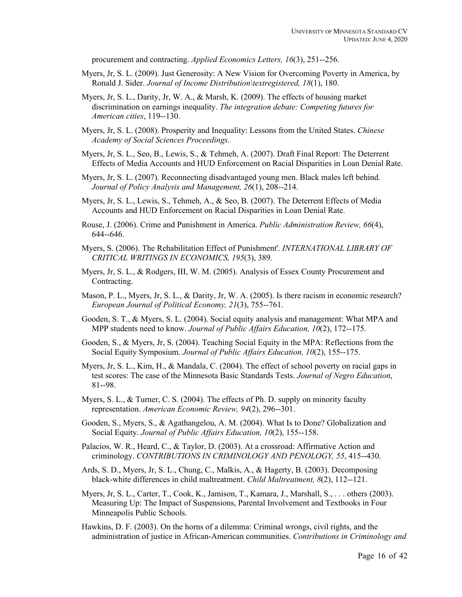procurement and contracting. *Applied Economics Letters, 16*(3), 251--256.

- Myers, Jr, S. L. (2009). Just Generosity: A New Vision for Overcoming Poverty in America, by Ronald J. Sider. *Journal of Income Distribution\textregistered, 18*(1), 180.
- Myers, Jr, S. L., Darity, Jr, W. A., & Marsh, K. (2009). The effects of housing market discrimination on earnings inequality. *The integration debate: Competing futures for American cities*, 119--130.
- Myers, Jr, S. L. (2008). Prosperity and Inequality: Lessons from the United States. *Chinese Academy of Social Sciences Proceedings*.
- Myers, Jr, S. L., Seo, B., Lewis, S., & Tehmeh, A. (2007). Draft Final Report: The Deterrent Effects of Media Accounts and HUD Enforcement on Racial Disparities in Loan Denial Rate.
- Myers, Jr, S. L. (2007). Reconnecting disadvantaged young men. Black males left behind. *Journal of Policy Analysis and Management, 26*(1), 208--214.
- Myers, Jr, S. L., Lewis, S., Tehmeh, A., & Seo, B. (2007). The Deterrent Effects of Media Accounts and HUD Enforcement on Racial Disparities in Loan Denial Rate.
- Rouse, J. (2006). Crime and Punishment in America. *Public Administration Review, 66*(4), 644--646.
- Myers, S. (2006). The Rehabilitation Effect of Punishment'. *INTERNATIONAL LIBRARY OF CRITICAL WRITINGS IN ECONOMICS, 195*(3), 389.
- Myers, Jr, S. L., & Rodgers, III, W. M. (2005). Analysis of Essex County Procurement and Contracting.
- Mason, P. L., Myers, Jr, S. L., & Darity, Jr, W. A. (2005). Is there racism in economic research? *European Journal of Political Economy, 21*(3), 755--761.
- Gooden, S. T., & Myers, S. L. (2004). Social equity analysis and management: What MPA and MPP students need to know. *Journal of Public Affairs Education, 10*(2), 172--175.
- Gooden, S., & Myers, Jr, S. (2004). Teaching Social Equity in the MPA: Reflections from the Social Equity Symposium. *Journal of Public Affairs Education, 10*(2), 155--175.
- Myers, Jr, S. L., Kim, H., & Mandala, C. (2004). The effect of school poverty on racial gaps in test scores: The case of the Minnesota Basic Standards Tests. *Journal of Negro Education*, 81--98.
- Myers, S. L., & Turner, C. S. (2004). The effects of Ph. D. supply on minority faculty representation. *American Economic Review, 94*(2), 296--301.
- Gooden, S., Myers, S., & Agathangelou, A. M. (2004). What Is to Done? Globalization and Social Equity. *Journal of Public Affairs Education, 10*(2), 155--158.
- Palacios, W. R., Heard, C., & Taylor, D. (2003). At a crossroad: Affirmative Action and criminology. *CONTRIBUTIONS IN CRIMINOLOGY AND PENOLOGY, 55*, 415--430.
- Ards, S. D., Myers, Jr, S. L., Chung, C., Malkis, A., & Hagerty, B. (2003). Decomposing black-white differences in child maltreatment. *Child Maltreatment, 8*(2), 112--121.
- Myers, Jr, S. L., Carter, T., Cook, K., Jamison, T., Kamara, J., Marshall, S., . . . others (2003). Measuring Up: The Impact of Suspensions, Parental Involvement and Textbooks in Four Minneapolis Public Schools.
- Hawkins, D. F. (2003). On the horns of a dilemma: Criminal wrongs, civil rights, and the administration of justice in African-American communities. *Contributions in Criminology and*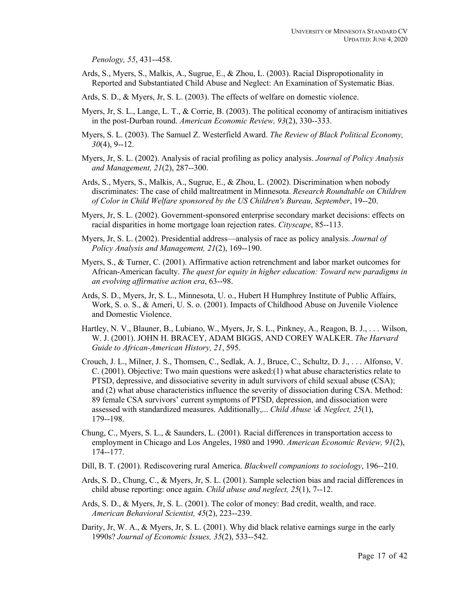*Penology, 55*, 431--458.

- Ards, S., Myers, S., Malkis, A., Sugrue, E., & Zhou, L. (2003). Racial Dispropotionality in Reported and Substantiated Child Abuse and Neglect: An Examination of Systematic Bias.
- Ards, S. D., & Myers, Jr, S. L. (2003). The effects of welfare on domestic violence.
- Myers, Jr, S. L., Lange, L. T., & Corrie, B. (2003). The political economy of antiracism initiatives in the post-Durban round. *American Economic Review, 93*(2), 330--333.
- Myers, S. L. (2003). The Samuel Z. Westerfield Award. *The Review of Black Political Economy, 30*(4), 9--12.
- Myers, Jr, S. L. (2002). Analysis of racial profiling as policy analysis. *Journal of Policy Analysis and Management, 21*(2), 287--300.
- Ards, S., Myers, S., Malkis, A., Sugrue, E., & Zhou, L. (2002). Discrimination when nobody discriminates: The case of child maltreatment in Minnesota. *Research Roundtable on Children of Color in Child Welfare sponsored by the US Children's Bureau, September*, 19--20.
- Myers, Jr, S. L. (2002). Government-sponsored enterprise secondary market decisions: effects on racial disparities in home mortgage loan rejection rates. *Cityscape*, 85--113.
- Myers, Jr, S. L. (2002). Presidential address—analysis of race as policy analysis. *Journal of Policy Analysis and Management, 21*(2), 169--190.
- Myers, S., & Turner, C. (2001). Affirmative action retrenchment and labor market outcomes for African-American faculty. *The quest for equity in higher education: Toward new paradigms in an evolving affirmative action era*, 63--98.
- Ards, S. D., Myers, Jr, S. L., Minnesota, U. o., Hubert H Humphrey Institute of Public Affairs, Work, S. o. S., & Ameri, U. S. o. (2001). Impacts of Childhood Abuse on Juvenile Violence and Domestic Violence.
- Hartley, N. V., Blauner, B., Lubiano, W., Myers, Jr, S. L., Pinkney, A., Reagon, B. J., . . . Wilson, W. J. (2001). JOHN H. BRACEY, ADAM BIGGS, AND COREY WALKER. *The Harvard Guide to African-American History, 21*, 595.
- Crouch, J. L., Milner, J. S., Thomsen, C., Sedlak, A. J., Bruce, C., Schultz, D. J., . . . Alfonso, V. C. (2001). Objective: Two main questions were asked:(1) what abuse characteristics relate to PTSD, depressive, and dissociative severity in adult survivors of child sexual abuse (CSA); and (2) what abuse characteristics influence the severity of dissociation during CSA. Method: 89 female CSA survivors' current symptoms of PTSD, depression, and dissociation were assessed with standardized measures. Additionally,... *Child Abuse \& Neglect, 25*(1), 179--198.
- Chung, C., Myers, S. L., & Saunders, L. (2001). Racial differences in transportation access to employment in Chicago and Los Angeles, 1980 and 1990. *American Economic Review, 91*(2), 174--177.
- Dill, B. T. (2001). Rediscovering rural America. *Blackwell companions to sociology*, 196--210.
- Ards, S. D., Chung, C., & Myers, Jr, S. L. (2001). Sample selection bias and racial differences in child abuse reporting: once again. *Child abuse and neglect, 25*(1), 7--12.
- Ards, S. D., & Myers, Jr, S. L. (2001). The color of money: Bad credit, wealth, and race. *American Behavioral Scientist, 45*(2), 223--239.
- Darity, Jr, W. A., & Myers, Jr, S. L. (2001). Why did black relative earnings surge in the early 1990s? *Journal of Economic Issues, 35*(2), 533--542.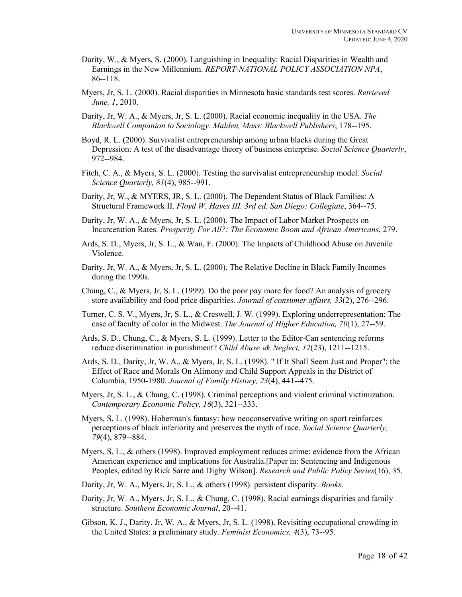- Darity, W., & Myers, S. (2000). Languishing in Inequality: Racial Disparities in Wealth and Earnings in the New Millennium. *REPORT-NATIONAL POLICY ASSOCIATION NPA*, 86--118.
- Myers, Jr, S. L. (2000). Racial disparities in Minnesota basic standards test scores. *Retrieved June, 1*, 2010.
- Darity, Jr, W. A., & Myers, Jr, S. L. (2000). Racial economic inequality in the USA. *The Blackwell Companion to Sociology. Malden, Mass: Blackwell Publishers*, 178--195.
- Boyd, R. L. (2000). Survivalist entrepreneurship among urban blacks during the Great Depression: A test of the disadvantage theory of business enterprise. *Social Science Quarterly*, 972--984.
- Fitch, C. A., & Myers, S. L. (2000). Testing the survivalist entrepreneurship model. *Social Science Quarterly, 81*(4), 985--991.
- Darity, Jr, W., & MYERS, JR, S. L. (2000). The Dependent Status of Black Families: A Structural Framework II. *Floyd W. Hayes III. 3rd ed. San Diego: Collegiate*, 364--75.
- Darity, Jr, W. A., & Myers, Jr, S. L. (2000). The Impact of Labor Market Prospects on Incarceration Rates. *Prosperity For All?: The Economic Boom and African Americans*, 279.
- Ards, S. D., Myers, Jr, S. L., & Wan, F. (2000). The Impacts of Childhood Abuse on Juvenile Violence.
- Darity, Jr, W. A., & Myers, Jr, S. L. (2000). The Relative Decline in Black Family Incomes during the 1990s.
- Chung, C., & Myers, Jr, S. L. (1999). Do the poor pay more for food? An analysis of grocery store availability and food price disparities. *Journal of consumer affairs, 33*(2), 276--296.
- Turner, C. S. V., Myers, Jr, S. L., & Creswell, J. W. (1999). Exploring underrepresentation: The case of faculty of color in the Midwest. *The Journal of Higher Education, 70*(1), 27--59.
- Ards, S. D., Chung, C., & Myers, S. L. (1999). Letter to the Editor-Can sentencing reforms reduce discrimination in punishment? *Child Abuse \& Neglect, 12*(23), 1211--1215.
- Ards, S. D., Darity, Jr, W. A., & Myers, Jr, S. L. (1998). " If It Shall Seem Just and Proper": the Effect of Race and Morals On Alimony and Child Support Appeals in the District of Columbia, 1950-1980. *Journal of Family History, 23*(4), 441--475.
- Myers, Jr, S. L., & Chung, C. (1998). Criminal perceptions and violent criminal victimization. *Contemporary Economic Policy, 16*(3), 321--333.
- Myers, S. L. (1998). Hoberman's fantasy: how neoconservative writing on sport reinforces perceptions of black inferiority and preserves the myth of race. *Social Science Quarterly, 79*(4), 879--884.
- Myers, S. L., & others (1998). Improved employment reduces crime: evidence from the African American experience and implications for Australia.[Paper in: Sentencing and Indigenous Peoples, edited by Rick Sarre and Digby Wilson]. *Research and Public Policy Series*(16), 35.
- Darity, Jr, W. A., Myers, Jr, S. L., & others (1998). persistent disparity. *Books*.
- Darity, Jr, W. A., Myers, Jr, S. L., & Chung, C. (1998). Racial earnings disparities and family structure. *Southern Economic Journal*, 20--41.
- Gibson, K. J., Darity, Jr, W. A., & Myers, Jr, S. L. (1998). Revisiting occupational crowding in the United States: a preliminary study. *Feminist Economics, 4*(3), 73--95.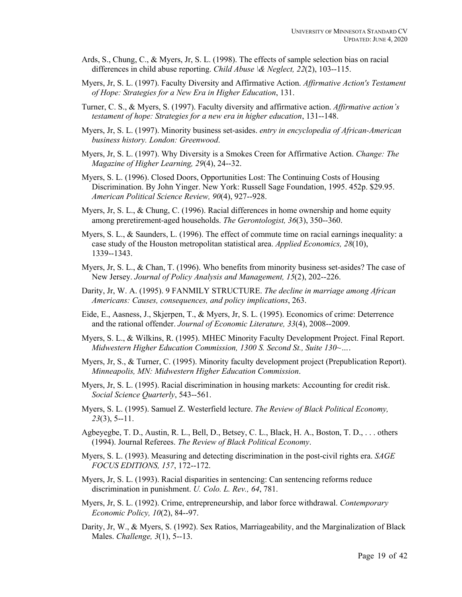- Ards, S., Chung, C., & Myers, Jr, S. L. (1998). The effects of sample selection bias on racial differences in child abuse reporting. *Child Abuse \& Neglect, 22*(2), 103--115.
- Myers, Jr, S. L. (1997). Faculty Diversity and Affirmative Action. *Affirmative Action's Testament of Hope: Strategies for a New Era in Higher Education*, 131.
- Turner, C. S., & Myers, S. (1997). Faculty diversity and affirmative action. *Affirmative action's testament of hope: Strategies for a new era in higher education*, 131--148.
- Myers, Jr, S. L. (1997). Minority business set-asides. *entry in encyclopedia of African-American business history. London: Greenwood*.
- Myers, Jr, S. L. (1997). Why Diversity is a Smokes Creen for Affirmative Action. *Change: The Magazine of Higher Learning, 29*(4), 24--32.
- Myers, S. L. (1996). Closed Doors, Opportunities Lost: The Continuing Costs of Housing Discrimination. By John Yinger. New York: Russell Sage Foundation, 1995. 452p. \$29.95. *American Political Science Review, 90*(4), 927--928.
- Myers, Jr, S. L., & Chung, C. (1996). Racial differences in home ownership and home equity among preretirement-aged households. *The Gerontologist, 36*(3), 350--360.
- Myers, S. L., & Saunders, L. (1996). The effect of commute time on racial earnings inequality: a case study of the Houston metropolitan statistical area. *Applied Economics, 28*(10), 1339--1343.
- Myers, Jr, S. L., & Chan, T. (1996). Who benefits from minority business set-asides? The case of New Jersey. *Journal of Policy Analysis and Management, 15*(2), 202--226.
- Darity, Jr, W. A. (1995). 9 FANMILY STRUCTURE. *The decline in marriage among African Americans: Causes, consequences, and policy implications*, 263.
- Eide, E., Aasness, J., Skjerpen, T., & Myers, Jr, S. L. (1995). Economics of crime: Deterrence and the rational offender. *Journal of Economic Literature, 33*(4), 2008--2009.
- Myers, S. L., & Wilkins, R. (1995). MHEC Minority Faculty Development Project. Final Report. *Midwestern Higher Education Commission, 1300 S. Second St., Suite 130~…*.
- Myers, Jr, S., & Turner, C. (1995). Minority faculty development project (Prepublication Report). *Minneapolis, MN: Midwestern Higher Education Commission*.
- Myers, Jr, S. L. (1995). Racial discrimination in housing markets: Accounting for credit risk. *Social Science Quarterly*, 543--561.
- Myers, S. L. (1995). Samuel Z. Westerfield lecture. *The Review of Black Political Economy, 23*(3), 5--11.
- Agbeyegbe, T. D., Austin, R. L., Bell, D., Betsey, C. L., Black, H. A., Boston, T. D., . . . others (1994). Journal Referees. *The Review of Black Political Economy*.
- Myers, S. L. (1993). Measuring and detecting discrimination in the post-civil rights era. *SAGE FOCUS EDITIONS, 157*, 172--172.
- Myers, Jr, S. L. (1993). Racial disparities in sentencing: Can sentencing reforms reduce discrimination in punishment. *U. Colo. L. Rev., 64*, 781.
- Myers, Jr, S. L. (1992). Crime, entrepreneurship, and labor force withdrawal. *Contemporary Economic Policy, 10*(2), 84--97.
- Darity, Jr, W., & Myers, S. (1992). Sex Ratios, Marriageability, and the Marginalization of Black Males. *Challenge, 3*(1), 5--13.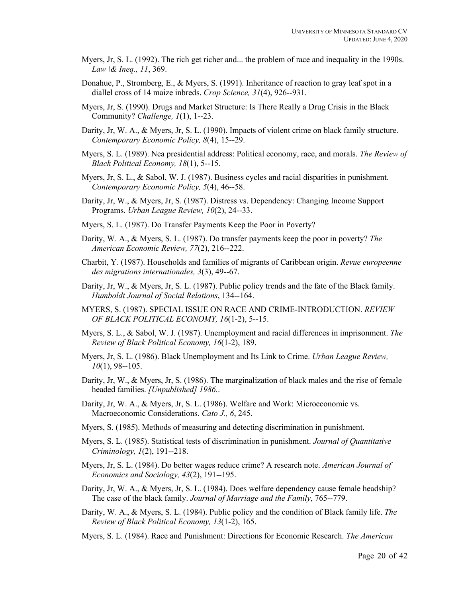- Myers, Jr, S. L. (1992). The rich get richer and... the problem of race and inequality in the 1990s. *Law \& Ineq., 11*, 369.
- Donahue, P., Stromberg, E., & Myers, S. (1991). Inheritance of reaction to gray leaf spot in a diallel cross of 14 maize inbreds. *Crop Science, 31*(4), 926--931.
- Myers, Jr, S. (1990). Drugs and Market Structure: Is There Really a Drug Crisis in the Black Community? *Challenge, 1*(1), 1--23.
- Darity, Jr, W. A., & Myers, Jr, S. L. (1990). Impacts of violent crime on black family structure. *Contemporary Economic Policy, 8*(4), 15--29.
- Myers, S. L. (1989). Nea presidential address: Political economy, race, and morals. *The Review of Black Political Economy, 18*(1), 5--15.
- Myers, Jr, S. L., & Sabol, W. J. (1987). Business cycles and racial disparities in punishment. *Contemporary Economic Policy, 5*(4), 46--58.
- Darity, Jr, W., & Myers, Jr, S. (1987). Distress vs. Dependency: Changing Income Support Programs. *Urban League Review, 10*(2), 24--33.
- Myers, S. L. (1987). Do Transfer Payments Keep the Poor in Poverty?
- Darity, W. A., & Myers, S. L. (1987). Do transfer payments keep the poor in poverty? *The American Economic Review, 77*(2), 216--222.
- Charbit, Y. (1987). Households and families of migrants of Caribbean origin. *Revue europeenne des migrations internationales, 3*(3), 49--67.
- Darity, Jr, W., & Myers, Jr, S. L. (1987). Public policy trends and the fate of the Black family. *Humboldt Journal of Social Relations*, 134--164.
- MYERS, S. (1987). SPECIAL ISSUE ON RACE AND CRIME-INTRODUCTION. *REVIEW OF BLACK POLITICAL ECONOMY, 16*(1-2), 5--15.
- Myers, S. L., & Sabol, W. J. (1987). Unemployment and racial differences in imprisonment. *The Review of Black Political Economy, 16*(1-2), 189.
- Myers, Jr, S. L. (1986). Black Unemployment and Its Link to Crime. *Urban League Review, 10*(1), 98--105.
- Darity, Jr, W., & Myers, Jr, S. (1986). The marginalization of black males and the rise of female headed families. *[Unpublished] 1986.*.
- Darity, Jr, W. A., & Myers, Jr, S. L. (1986). Welfare and Work: Microeconomic vs. Macroeconomic Considerations. *Cato J., 6*, 245.
- Myers, S. (1985). Methods of measuring and detecting discrimination in punishment.
- Myers, S. L. (1985). Statistical tests of discrimination in punishment. *Journal of Quantitative Criminology, 1*(2), 191--218.
- Myers, Jr, S. L. (1984). Do better wages reduce crime? A research note. *American Journal of Economics and Sociology, 43*(2), 191--195.
- Darity, Jr, W. A., & Myers, Jr, S. L. (1984). Does welfare dependency cause female headship? The case of the black family. *Journal of Marriage and the Family*, 765--779.
- Darity, W. A., & Myers, S. L. (1984). Public policy and the condition of Black family life. *The Review of Black Political Economy, 13*(1-2), 165.
- Myers, S. L. (1984). Race and Punishment: Directions for Economic Research. *The American*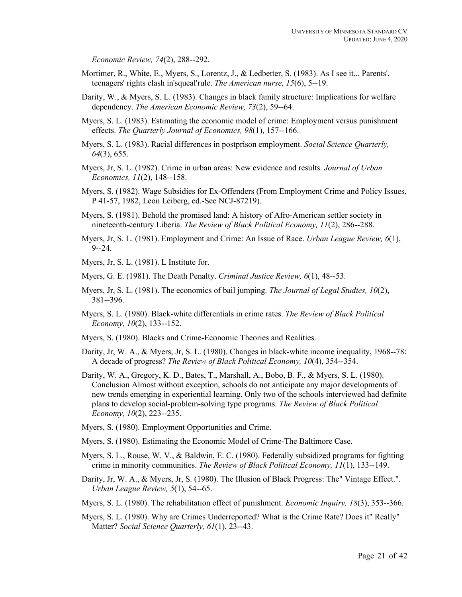*Economic Review, 74*(2), 288--292.

- Mortimer, R., White, E., Myers, S., Lorentz, J., & Ledbetter, S. (1983). As I see it... Parents', teenagers' rights clash in'squeal'rule. *The American nurse, 15*(6), 5--19.
- Darity, W., & Myers, S. L. (1983). Changes in black family structure: Implications for welfare dependency. *The American Economic Review, 73*(2), 59--64.
- Myers, S. L. (1983). Estimating the economic model of crime: Employment versus punishment effects. *The Quarterly Journal of Economics, 98*(1), 157--166.
- Myers, S. L. (1983). Racial differences in postprison employment. *Social Science Quarterly, 64*(3), 655.
- Myers, Jr, S. L. (1982). Crime in urban areas: New evidence and results. *Journal of Urban Economics, 11*(2), 148--158.
- Myers, S. (1982). Wage Subsidies for Ex-Offenders (From Employment Crime and Policy Issues, P 41-57, 1982, Leon Leiberg, ed.-See NCJ-87219).
- Myers, S. (1981). Behold the promised land: A history of Afro-American settler society in nineteenth-century Liberia. *The Review of Black Political Economy, 11*(2), 286--288.
- Myers, Jr, S. L. (1981). Employment and Crime: An Issue of Race. *Urban League Review, 6*(1), 9--24.
- Myers, Jr, S. L. (1981). L Institute for.
- Myers, G. E. (1981). The Death Penalty. *Criminal Justice Review, 6*(1), 48--53.
- Myers, Jr, S. L. (1981). The economics of bail jumping. *The Journal of Legal Studies, 10*(2), 381--396.
- Myers, S. L. (1980). Black-white differentials in crime rates. *The Review of Black Political Economy, 10*(2), 133--152.
- Myers, S. (1980). Blacks and Crime-Economic Theories and Realities.
- Darity, Jr, W. A., & Myers, Jr, S. L. (1980). Changes in black-white income inequality, 1968--78: A decade of progress? *The Review of Black Political Economy, 10*(4), 354--354.
- Darity, W. A., Gregory, K. D., Bates, T., Marshall, A., Bobo, B. F., & Myers, S. L. (1980). Conclusion Almost without exception, schools do not anticipate any major developments of new trends emerging in experiential learning. Only two of the schools interviewed had definite plans to develop social-problem-solving type programs. *The Review of Black Political Economy, 10*(2), 223--235.
- Myers, S. (1980). Employment Opportunities and Crime.
- Myers, S. (1980). Estimating the Economic Model of Crime-The Baltimore Case.
- Myers, S. L., Rouse, W. V., & Baldwin, E. C. (1980). Federally subsidized programs for fighting crime in minority communities. *The Review of Black Political Economy, 11*(1), 133--149.
- Darity, Jr, W. A., & Myers, Jr, S. (1980). The Illusion of Black Progress: The" Vintage Effect.". *Urban League Review, 5*(1), 54--65.
- Myers, S. L. (1980). The rehabilitation effect of punishment. *Economic Inquiry, 18*(3), 353--366.
- Myers, S. L. (1980). Why are Crimes Underreported? What is the Crime Rate? Does it" Really" Matter? *Social Science Quarterly, 61*(1), 23--43.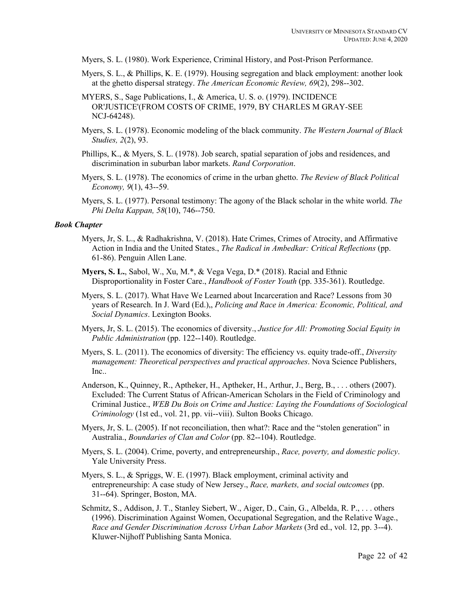- Myers, S. L. (1980). Work Experience, Criminal History, and Post-Prison Performance.
- Myers, S. L., & Phillips, K. E. (1979). Housing segregation and black employment: another look at the ghetto dispersal strategy. *The American Economic Review, 69*(2), 298--302.
- MYERS, S., Sage Publications, I., & America, U. S. o. (1979). INCIDENCE OR'JUSTICE'(FROM COSTS OF CRIME, 1979, BY CHARLES M GRAY-SEE NCJ-64248).
- Myers, S. L. (1978). Economic modeling of the black community. *The Western Journal of Black Studies, 2*(2), 93.
- Phillips, K., & Myers, S. L. (1978). Job search, spatial separation of jobs and residences, and discrimination in suburban labor markets. *Rand Corporation*.
- Myers, S. L. (1978). The economics of crime in the urban ghetto. *The Review of Black Political Economy, 9*(1), 43--59.
- Myers, S. L. (1977). Personal testimony: The agony of the Black scholar in the white world. *The Phi Delta Kappan, 58*(10), 746--750.

#### *Book Chapter*

- Myers, Jr, S. L., & Radhakrishna, V. (2018). Hate Crimes, Crimes of Atrocity, and Affirmative Action in India and the United States., *The Radical in Ambedkar: Critical Reflections* (pp. 61-86). Penguin Allen Lane.
- **Myers, S. L.**, Sabol, W., Xu, M.\*, & Vega Vega, D.\* (2018). Racial and Ethnic Disproportionality in Foster Care., *Handbook of Foster Youth* (pp. 335-361). Routledge.
- Myers, S. L. (2017). What Have We Learned about Incarceration and Race? Lessons from 30 years of Research. In J. Ward (Ed.),, *Policing and Race in America: Economic, Political, and Social Dynamics*. Lexington Books.
- Myers, Jr, S. L. (2015). The economics of diversity., *Justice for All: Promoting Social Equity in Public Administration* (pp. 122--140). Routledge.
- Myers, S. L. (2011). The economics of diversity: The efficiency vs. equity trade-off., *Diversity management: Theoretical perspectives and practical approaches*. Nova Science Publishers, Inc..
- Anderson, K., Quinney, R., Aptheker, H., Aptheker, H., Arthur, J., Berg, B., . . . others (2007). Excluded: The Current Status of African-American Scholars in the Field of Criminology and Criminal Justice., *WEB Du Bois on Crime and Justice: Laying the Foundations of Sociological Criminology* (1st ed., vol. 21, pp. vii--viii). Sulton Books Chicago.
- Myers, Jr, S. L. (2005). If not reconciliation, then what?: Race and the "stolen generation" in Australia., *Boundaries of Clan and Color* (pp. 82--104). Routledge.
- Myers, S. L. (2004). Crime, poverty, and entrepreneurship., *Race, poverty, and domestic policy*. Yale University Press.
- Myers, S. L., & Spriggs, W. E. (1997). Black employment, criminal activity and entrepreneurship: A case study of New Jersey., *Race, markets, and social outcomes* (pp. 31--64). Springer, Boston, MA.
- Schmitz, S., Addison, J. T., Stanley Siebert, W., Aiger, D., Cain, G., Albelda, R. P., . . . others (1996). Discrimination Against Women, Occupational Segregation, and the Relative Wage., *Race and Gender Discrimination Across Urban Labor Markets* (3rd ed., vol. 12, pp. 3--4). Kluwer-Nijhoff Publishing Santa Monica.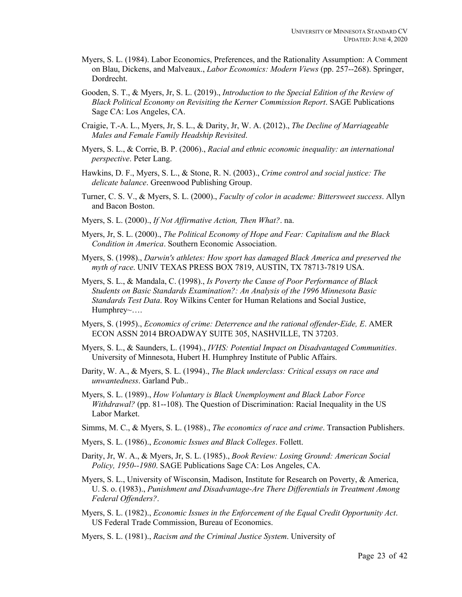- Myers, S. L. (1984). Labor Economics, Preferences, and the Rationality Assumption: A Comment on Blau, Dickens, and Malveaux., *Labor Economics: Modern Views* (pp. 257--268). Springer, Dordrecht.
- Gooden, S. T., & Myers, Jr, S. L. (2019)., *Introduction to the Special Edition of the Review of Black Political Economy on Revisiting the Kerner Commission Report*. SAGE Publications Sage CA: Los Angeles, CA.
- Craigie, T.-A. L., Myers, Jr, S. L., & Darity, Jr, W. A. (2012)., *The Decline of Marriageable Males and Female Family Headship Revisited*.
- Myers, S. L., & Corrie, B. P. (2006)., *Racial and ethnic economic inequality: an international perspective*. Peter Lang.
- Hawkins, D. F., Myers, S. L., & Stone, R. N. (2003)., *Crime control and social justice: The delicate balance*. Greenwood Publishing Group.
- Turner, C. S. V., & Myers, S. L. (2000)., *Faculty of color in academe: Bittersweet success*. Allyn and Bacon Boston.
- Myers, S. L. (2000)., *If Not Affirmative Action, Then What?*. na.
- Myers, Jr, S. L. (2000)., *The Political Economy of Hope and Fear: Capitalism and the Black Condition in America*. Southern Economic Association.
- Myers, S. (1998)., *Darwin's athletes: How sport has damaged Black America and preserved the myth of race*. UNIV TEXAS PRESS BOX 7819, AUSTIN, TX 78713-7819 USA.
- Myers, S. L., & Mandala, C. (1998)., *Is Poverty the Cause of Poor Performance of Black Students on Basic Standards Examination?: An Analysis of the 1996 Minnesota Basic Standards Test Data*. Roy Wilkins Center for Human Relations and Social Justice, Humphrey~….
- Myers, S. (1995)., *Economics of crime: Deterrence and the rational offender-Eide, E*. AMER ECON ASSN 2014 BROADWAY SUITE 305, NASHVILLE, TN 37203.
- Myers, S. L., & Saunders, L. (1994)., *IVHS: Potential Impact on Disadvantaged Communities*. University of Minnesota, Hubert H. Humphrey Institute of Public Affairs.
- Darity, W. A., & Myers, S. L. (1994)., *The Black underclass: Critical essays on race and unwantedness*. Garland Pub..
- Myers, S. L. (1989)., *How Voluntary is Black Unemployment and Black Labor Force Withdrawal?* (pp. 81--108). The Question of Discrimination: Racial Inequality in the US Labor Market.
- Simms, M. C., & Myers, S. L. (1988)., *The economics of race and crime*. Transaction Publishers.
- Myers, S. L. (1986)., *Economic Issues and Black Colleges*. Follett.
- Darity, Jr, W. A., & Myers, Jr, S. L. (1985)., *Book Review: Losing Ground: American Social Policy, 1950--1980*. SAGE Publications Sage CA: Los Angeles, CA.
- Myers, S. L., University of Wisconsin, Madison, Institute for Research on Poverty, & America, U. S. o. (1983)., *Punishment and Disadvantage-Are There Differentials in Treatment Among Federal Offenders?*.
- Myers, S. L. (1982)., *Economic Issues in the Enforcement of the Equal Credit Opportunity Act*. US Federal Trade Commission, Bureau of Economics.
- Myers, S. L. (1981)., *Racism and the Criminal Justice System*. University of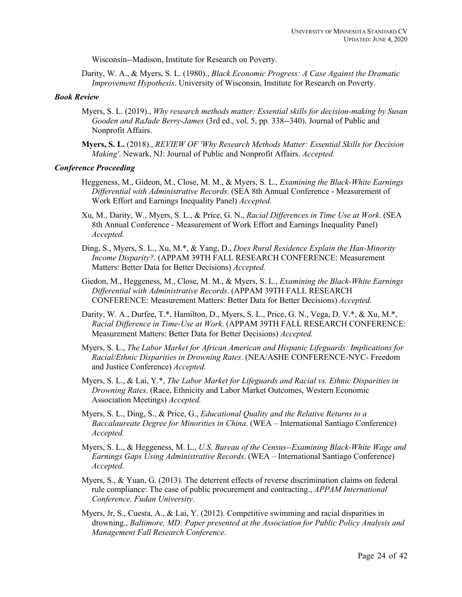Wisconsin--Madison, Institute for Research on Poverty.

Darity, W. A., & Myers, S. L. (1980)., *Black Economic Progress: A Case Against the Dramatic Improvement Hypothesis*. University of Wisconsin, Institute for Research on Poverty.

## *Book Review*

- Myers, S. L. (2019)., *Why research methods matter: Essential skills for decision-making by Susan Gooden and RaJade Berry-James* (3rd ed., vol. 5, pp. 338--340). Journal of Public and Nonprofit Affairs.
- **Myers, S. L.** (2018)., *REVIEW OF 'Why Research Methods Matter: Essential Skills for Decision Making'*. Newark, NJ: Journal of Public and Nonprofit Affairs. *Accepted.*

#### *Conference Proceeding*

- Heggeness, M., Gideon, M., Close, M. M., & Myers, S. L., *Examining the Black-White Earnings Differential with Administrative Records*. (SEA 8th Annual Conference - Measurement of Work Effort and Earnings Inequality Panel) *Accepted.*
- Xu, M., Darity, W., Myers, S. L., & Price, G. N., *Racial Differences in Time Use at Work*. (SEA 8th Annual Conference - Measurement of Work Effort and Earnings Inequality Panel) *Accepted.*
- Ding, S., Myers, S. L., Xu, M.\*, & Yang, D., *Does Rural Residence Explain the Han-Minority Income Disparity?*. (APPAM 39TH FALL RESEARCH CONFERENCE: Measurement Matters: Better Data for Better Decisions) *Accepted.*
- Giedon, M., Heggeness, M., Close, M. M., & Myers, S. L., *Examining the Black-White Earnings Differential with Administrative Records*. (APPAM 39TH FALL RESEARCH CONFERENCE: Measurement Matters: Better Data for Better Decisions) *Accepted.*
- Darity, W. A., Durfee, T.\*, Hamilton, D., Myers, S. L., Price, G. N., Vega, D. V.\*, & Xu, M.\*, *Racial Difference in Time-Use at Work*. (APPAM 39TH FALL RESEARCH CONFERENCE: Measurement Matters: Better Data for Better Decisions) *Accepted.*
- Myers, S. L., *The Labor Market for African American and Hispanic Lifeguards: Implications for Racial/Ethnic Disparities in Drowning Rates*. (NEA/ASHE CONFERENCE-NYC- Freedom and Justice Conference) *Accepted.*
- Myers, S. L., & Lai, Y.\*, *The Labor Market for Lifeguards and Racial vs. Ethnic Disparities in Drowning Rates*. (Race, Ethnicity and Labor Market Outcomes, Western Economic Association Meetings) *Accepted.*
- Myers, S. L., Ding, S., & Price, G., *Educational Quality and the Relative Returns to a Baccalaureate Degree for Minorities in China*. (WEA – International Santiago Conference) *Accepted.*
- Myers, S. L., & Heggeness, M. L., *U.S. Bureau of the Census--Examining Black-White Wage and Earnings Gaps Using Administrative Records*. (WEA – International Santiago Conference) *Accepted.*
- Myers, S., & Yuan, G. (2013). The deterrent effects of reverse discrimination claims on federal rule compliance: The case of public procurement and contracting., *APPAM International Conference, Fudan University*.
- Myers, Jr, S., Cuesta, A., & Lai, Y. (2012). Competitive swimming and racial disparities in drowning., *Baltimore, MD: Paper presented at the Association for Public Policy Analysis and Management Fall Research Conference*.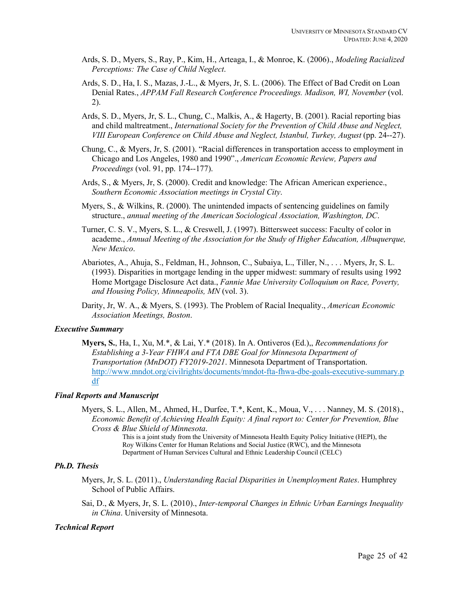- Ards, S. D., Myers, S., Ray, P., Kim, H., Arteaga, I., & Monroe, K. (2006)., *Modeling Racialized Perceptions: The Case of Child Neglect*.
- Ards, S. D., Ha, I. S., Mazas, J.-L., & Myers, Jr, S. L. (2006). The Effect of Bad Credit on Loan Denial Rates., *APPAM Fall Research Conference Proceedings. Madison, WI, November* (vol. 2).
- Ards, S. D., Myers, Jr, S. L., Chung, C., Malkis, A., & Hagerty, B. (2001). Racial reporting bias and child maltreatment., *International Society for the Prevention of Child Abuse and Neglect, VIII European Conference on Child Abuse and Neglect, Istanbul, Turkey, August* (pp. 24--27).
- Chung, C., & Myers, Jr, S. (2001). "Racial differences in transportation access to employment in Chicago and Los Angeles, 1980 and 1990"., *American Economic Review, Papers and Proceedings* (vol. 91, pp. 174--177).
- Ards, S., & Myers, Jr, S. (2000). Credit and knowledge: The African American experience., *Southern Economic Association meetings in Crystal City*.
- Myers, S., & Wilkins, R. (2000). The unintended impacts of sentencing guidelines on family structure., *annual meeting of the American Sociological Association, Washington, DC*.
- Turner, C. S. V., Myers, S. L., & Creswell, J. (1997). Bittersweet success: Faculty of color in academe., *Annual Meeting of the Association for the Study of Higher Education, Albuquerque, New Mexico*.
- Abariotes, A., Ahuja, S., Feldman, H., Johnson, C., Subaiya, L., Tiller, N., . . . Myers, Jr, S. L. (1993). Disparities in mortgage lending in the upper midwest: summary of results using 1992 Home Mortgage Disclosure Act data., *Fannie Mae University Colloquium on Race, Poverty, and Housing Policy, Minneapolis, MN* (vol. 3).
- Darity, Jr, W. A., & Myers, S. (1993). The Problem of Racial Inequality., *American Economic Association Meetings, Boston*.

## *Executive Summary*

**Myers, S.**, Ha, I., Xu, M.\*, & Lai, Y.\* (2018). In A. Ontiveros (Ed.),, *Recommendations for Establishing a 3-Year FHWA and FTA DBE Goal for Minnesota Department of Transportation (MnDOT) FY2019-2021*. Minnesota Department of Transportation. http://www.mndot.org/civilrights/documents/mndot-fta-fhwa-dbe-goals-executive-summary.p df

## *Final Reports and Manuscript*

Myers, S. L., Allen, M., Ahmed, H., Durfee, T.\*, Kent, K., Moua, V., . . . Nanney, M. S. (2018)., *Economic Benefit of Achieving Health Equity: A final report to: Center for Prevention, Blue Cross & Blue Shield of Minnesota*. This is a joint study from the University of Minnesota Health Equity Policy Initiative (HEPI), the

Roy Wilkins Center for Human Relations and Social Justice (RWC), and the Minnesota Department of Human Services Cultural and Ethnic Leadership Council (CELC)

#### *Ph.D. Thesis*

- Myers, Jr, S. L. (2011)., *Understanding Racial Disparities in Unemployment Rates*. Humphrey School of Public Affairs.
- Sai, D., & Myers, Jr, S. L. (2010)., *Inter-temporal Changes in Ethnic Urban Earnings Inequality in China*. University of Minnesota.

#### *Technical Report*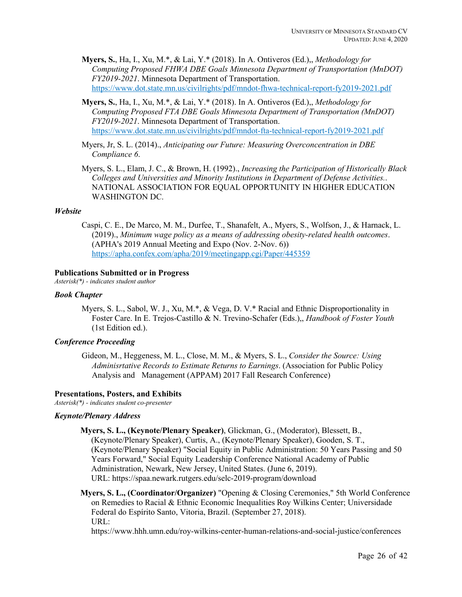**Myers, S.**, Ha, I., Xu, M.\*, & Lai, Y.\* (2018). In A. Ontiveros (Ed.),, *Methodology for Computing Proposed FHWA DBE Goals Minnesota Department of Transportation (MnDOT) FY2019-2021*. Minnesota Department of Transportation. https://www.dot.state.mn.us/civilrights/pdf/mndot-fhwa-technical-report-fy2019-2021.pdf

**Myers, S.**, Ha, I., Xu, M.\*, & Lai, Y.\* (2018). In A. Ontiveros (Ed.),, *Methodology for Computing Proposed FTA DBE Goals Minnesota Department of Transportation (MnDOT) FY2019-2021*. Minnesota Department of Transportation. https://www.dot.state.mn.us/civilrights/pdf/mndot-fta-technical-report-fy2019-2021.pdf

Myers, Jr, S. L. (2014)., *Anticipating our Future: Measuring Overconcentration in DBE Compliance 6*.

Myers, S. L., Elam, J. C., & Brown, H. (1992)., *Increasing the Participation of Historically Black Colleges and Universities and Minority Institutions in Department of Defense Activities.*. NATIONAL ASSOCIATION FOR EQUAL OPPORTUNITY IN HIGHER EDUCATION WASHINGTON DC.

## *Website*

Caspi, C. E., De Marco, M. M., Durfee, T., Shanafelt, A., Myers, S., Wolfson, J., & Harnack, L. (2019)., *Minimum wage policy as a means of addressing obesity-related health outcomes*. (APHA's 2019 Annual Meeting and Expo (Nov. 2-Nov. 6)) https://apha.confex.com/apha/2019/meetingapp.cgi/Paper/445359

#### **Publications Submitted or in Progress**

*Asterisk(\*) - indicates student author*

## *Book Chapter*

Myers, S. L., Sabol, W. J., Xu, M.\*, & Vega, D. V.\* Racial and Ethnic Disproportionality in Foster Care. In E. Trejos-Castillo & N. Trevino-Schafer (Eds.),, *Handbook of Foster Youth* (1st Edition ed.).

## *Conference Proceeding*

Gideon, M., Heggeness, M. L., Close, M. M., & Myers, S. L., *Consider the Source: Using Adminisrtative Records to Estimate Returns to Earnings*. (Association for Public Policy Analysis and Management (APPAM) 2017 Fall Research Conference)

#### **Presentations, Posters, and Exhibits**

*Asterisk(\*) - indicates student co-presenter*

#### *Keynote/Plenary Address*

**Myers, S. L., (Keynote/Plenary Speaker)**, Glickman, G., (Moderator), Blessett, B.,

(Keynote/Plenary Speaker), Curtis, A., (Keynote/Plenary Speaker), Gooden, S. T., (Keynote/Plenary Speaker) "Social Equity in Public Administration: 50 Years Passing and 50 Years Forward," Social Equity Leadership Conference National Academy of Public Administration, Newark, New Jersey, United States. (June 6, 2019). URL: https://spaa.newark.rutgers.edu/selc-2019-program/download

**Myers, S. L., (Coordinator/Organizer)** "Opening & Closing Ceremonies," 5th World Conference on Remedies to Racial & Ethnic Economic Inequalities Roy Wilkins Center; Universidade Federal do Espírito Santo, Vitoria, Brazil. (September 27, 2018). URL:

https://www.hhh.umn.edu/roy-wilkins-center-human-relations-and-social-justice/conferences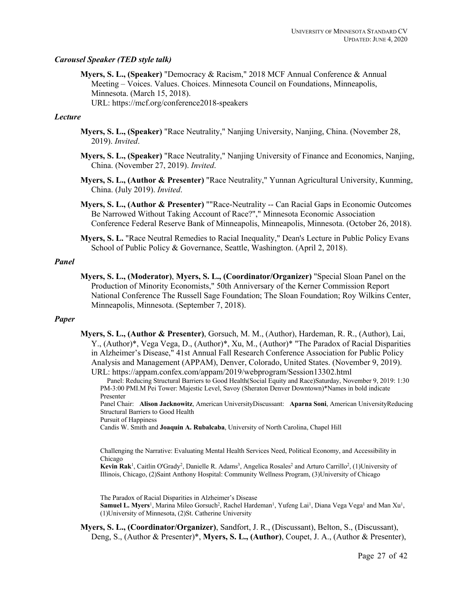## *Carousel Speaker (TED style talk)*

**Myers, S. L., (Speaker)** "Democracy & Racism," 2018 MCF Annual Conference & Annual Meeting – Voices. Values. Choices. Minnesota Council on Foundations, Minneapolis, Minnesota. (March 15, 2018). URL: https://mcf.org/conference2018-speakers

#### *Lecture*

- **Myers, S. L., (Speaker)** "Race Neutrality," Nanjing University, Nanjing, China. (November 28, 2019). *Invited*.
- **Myers, S. L., (Speaker)** "Race Neutrality," Nanjing University of Finance and Economics, Nanjing, China. (November 27, 2019). *Invited*.
- **Myers, S. L., (Author & Presenter)** "Race Neutrality," Yunnan Agricultural University, Kunming, China. (July 2019). *Invited*.
- **Myers, S. L., (Author & Presenter)** ""Race-Neutrality -- Can Racial Gaps in Economic Outcomes Be Narrowed Without Taking Account of Race?"," Minnesota Economic Association Conference Federal Reserve Bank of Minneapolis, Minneapolis, Minnesota. (October 26, 2018).
- **Myers, S. L.** "Race Neutral Remedies to Racial Inequality," Dean's Lecture in Public Policy Evans School of Public Policy & Governance, Seattle, Washington. (April 2, 2018).

#### *Panel*

**Myers, S. L., (Moderator)**, **Myers, S. L., (Coordinator/Organizer)** "Special Sloan Panel on the Production of Minority Economists," 50th Anniversary of the Kerner Commission Report National Conference The Russell Sage Foundation; The Sloan Foundation; Roy Wilkins Center, Minneapolis, Minnesota. (September 7, 2018).

## *Paper*

**Myers, S. L., (Author & Presenter)**, Gorsuch, M. M., (Author), Hardeman, R. R., (Author), Lai, Y., (Author)\*, Vega Vega, D., (Author)\*, Xu, M., (Author)\* "The Paradox of Racial Disparities in Alzheimer's Disease," 41st Annual Fall Research Conference Association for Public Policy Analysis and Management (APPAM), Denver, Colorado, United States. (November 9, 2019). URL: https://appam.confex.com/appam/2019/webprogram/Session13302.html

Panel: Reducing Structural Barriers to Good Health(Social Equity and Race)Saturday, November 9, 2019: 1:30 PM-3:00 PMI.M Pei Tower: Majestic Level, Savoy (Sheraton Denver Downtown)\*Names in bold indicate Presenter

Panel Chair: **Alison Jacknowitz**, American UniversityDiscussant: **Aparna Soni**, American UniversityReducing Structural Barriers to Good Health

Pursuit of Happiness

Candis W. Smith and **Joaquin A. Rubalcaba**, University of North Carolina, Chapel Hill

Challenging the Narrative: Evaluating Mental Health Services Need, Political Economy, and Accessibility in Chicago

Kevin Rak<sup>1</sup>, Caitlin O'Grady<sup>2</sup>, Danielle R. Adams<sup>3</sup>, Angelica Rosales<sup>2</sup> and Arturo Carrillo<sup>2</sup>, (1)University of Illinois, Chicago, (2)Saint Anthony Hospital: Community Wellness Program, (3)University of Chicago

The Paradox of Racial Disparities in Alzheimer's Disease

Samuel L. Myers<sup>1</sup>, Marina Mileo Gorsuch<sup>2</sup>, Rachel Hardeman<sup>1</sup>, Yufeng Lai<sup>1</sup>, Diana Vega Vega<sup>1</sup> and Man Xu<sup>1</sup>, (1)University of Minnesota, (2)St. Catherine University

**Myers, S. L., (Coordinator/Organizer)**, Sandfort, J. R., (Discussant), Belton, S., (Discussant), Deng, S., (Author & Presenter)\*, **Myers, S. L., (Author)**, Coupet, J. A., (Author & Presenter),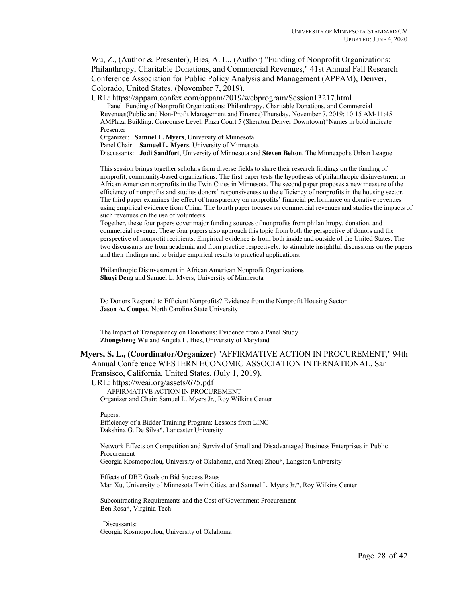Wu, Z., (Author & Presenter), Bies, A. L., (Author) "Funding of Nonprofit Organizations: Philanthropy, Charitable Donations, and Commercial Revenues," 41st Annual Fall Research Conference Association for Public Policy Analysis and Management (APPAM), Denver, Colorado, United States. (November 7, 2019).

URL: https://appam.confex.com/appam/2019/webprogram/Session13217.html

Panel: Funding of Nonprofit Organizations: Philanthropy, Charitable Donations, and Commercial Revenues(Public and Non-Profit Management and Finance)Thursday, November 7, 2019: 10:15 AM-11:45 AMPlaza Building: Concourse Level, Plaza Court 5 (Sheraton Denver Downtown)\*Names in bold indicate Presenter

Organizer: **Samuel L. Myers**, University of Minnesota

Panel Chair: **Samuel L. Myers**, University of Minnesota

Discussants: **Jodi Sandfort**, University of Minnesota and **Steven Belton**, The Minneapolis Urban League

This session brings together scholars from diverse fields to share their research findings on the funding of nonprofit, community-based organizations. The first paper tests the hypothesis of philanthropic disinvestment in African American nonprofits in the Twin Cities in Minnesota. The second paper proposes a new measure of the efficiency of nonprofits and studies donors' responsiveness to the efficiency of nonprofits in the housing sector. The third paper examines the effect of transparency on nonprofits' financial performance on donative revenues using empirical evidence from China. The fourth paper focuses on commercial revenues and studies the impacts of such revenues on the use of volunteers.

Together, these four papers cover major funding sources of nonprofits from philanthropy, donation, and commercial revenue. These four papers also approach this topic from both the perspective of donors and the perspective of nonprofit recipients. Empirical evidence is from both inside and outside of the United States. The two discussants are from academia and from practice respectively, to stimulate insightful discussions on the papers and their findings and to bridge empirical results to practical applications.

Philanthropic Disinvestment in African American Nonprofit Organizations **Shuyi Deng** and Samuel L. Myers, University of Minnesota

Do Donors Respond to Efficient Nonprofits? Evidence from the Nonprofit Housing Sector **Jason A. Coupet**, North Carolina State University

The Impact of Transparency on Donations: Evidence from a Panel Study **Zhongsheng Wu** and Angela L. Bies, University of Maryland

## **Myers, S. L., (Coordinator/Organizer)** "AFFIRMATIVE ACTION IN PROCUREMENT," 94th Annual Conference WESTERN ECONOMIC ASSOCIATION INTERNATIONAL, San

Fransisco, California, United States. (July 1, 2019).

URL: https://weai.org/assets/675.pdf AFFIRMATIVE ACTION IN PROCUREMENT

Organizer and Chair: Samuel L. Myers Jr., Roy Wilkins Center

Papers:

Efficiency of a Bidder Training Program: Lessons from LINC Dakshina G. De Silva\*, Lancaster University

Network Effects on Competition and Survival of Small and Disadvantaged Business Enterprises in Public Procurement Georgia Kosmopoulou, University of Oklahoma, and Xueqi Zhou\*, Langston University

Effects of DBE Goals on Bid Success Rates Man Xu, University of Minnesota Twin Cities, and Samuel L. Myers Jr.\*, Roy Wilkins Center

Subcontracting Requirements and the Cost of Government Procurement Ben Rosa\*, Virginia Tech

Discussants: Georgia Kosmopoulou, University of Oklahoma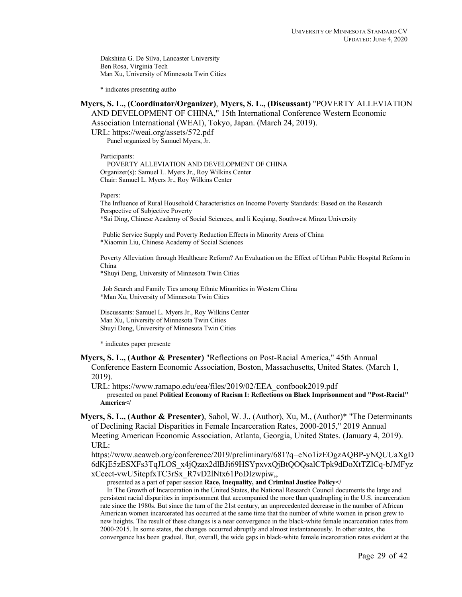Dakshina G. De Silva, Lancaster University Ben Rosa, Virginia Tech Man Xu, University of Minnesota Twin Cities

\* indicates presenting autho

# **Myers, S. L., (Coordinator/Organizer)**, **Myers, S. L., (Discussant)** "POVERTY ALLEVIATION AND DEVELOPMENT OF CHINA," 15th International Conference Western Economic

Association International (WEAI), Tokyo, Japan. (March 24, 2019).

URL: https://weai.org/assets/572.pdf

Panel organized by Samuel Myers, Jr.

Participants:

POVERTY ALLEVIATION AND DEVELOPMENT OF CHINA Organizer(s): Samuel L. Myers Jr., Roy Wilkins Center Chair: Samuel L. Myers Jr., Roy Wilkins Center

Papers:

The Influence of Rural Household Characteristics on Income Poverty Standards: Based on the Research Perspective of Subjective Poverty \*Sai Ding, Chinese Academy of Social Sciences, and li Keqiang, Southwest Minzu University

Public Service Supply and Poverty Reduction Effects in Minority Areas of China \*Xiaomin Liu, Chinese Academy of Social Sciences

Poverty Alleviation through Healthcare Reform? An Evaluation on the Effect of Urban Public Hospital Reform in China

\*Shuyi Deng, University of Minnesota Twin Cities

Job Search and Family Ties among Ethnic Minorities in Western China \*Man Xu, University of Minnesota Twin Cities

Discussants: Samuel L. Myers Jr., Roy Wilkins Center Man Xu, University of Minnesota Twin Cities Shuyi Deng, University of Minnesota Twin Cities

\* indicates paper presente

**Myers, S. L., (Author & Presenter)** "Reflections on Post-Racial America," 45th Annual Conference Eastern Economic Association, Boston, Massachusetts, United States. (March 1, 2019).

URL: https://www.ramapo.edu/eea/files/2019/02/EEA\_confbook2019.pdf presented on panel **Political Economy of Racism I: Reflections on Black Imprisonment and "Post-Racial" America</**

**Myers, S. L., (Author & Presenter)**, Sabol, W. J., (Author), Xu, M., (Author)\* "The Determinants of Declining Racial Disparities in Female Incarceration Rates, 2000-2015," 2019 Annual Meeting American Economic Association, Atlanta, Georgia, United States. (January 4, 2019). URL:

https://www.aeaweb.org/conference/2019/preliminary/681?q=eNo1izEOgzAQBP-yNQUUaXgD 6dKjE5zESXFs3TqJLOS\_x4jQzax2dlBJi69HSYpxvxQjBtQOQsalCTpk9dDoXtTZlCq-bJMFyz xCeect-vwU5itepfxTC3rSx\_R7vD2lNtx61PoDIzwpiw,,

presented as a part of paper session **Race, Inequality, and Criminal Justice Policy</**

In The Growth of Incarceration in the United States, the National Research Council documents the large and persistent racial disparities in imprisonment that accompanied the more than quadrupling in the U.S. incarceration rate since the 1980s. But since the turn of the 21st century, an unprecedented decrease in the number of African American women incarcerated has occurred at the same time that the number of white women in prison grew to new heights. The result of these changes is a near convergence in the black-white female incarceration rates from 2000-2015. In some states, the changes occurred abruptly and almost instantaneously. In other states, the convergence has been gradual. But, overall, the wide gaps in black-white female incarceration rates evident at the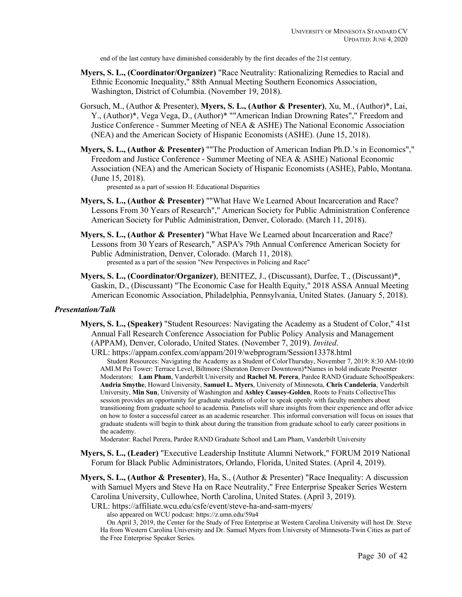end of the last century have diminished considerably by the first decades of the 21st century.

- **Myers, S. L., (Coordinator/Organizer)** "Race Neutrality: Rationalizing Remedies to Racial and Ethnic Economic Inequality," 88th Annual Meeting Southern Economics Association, Washington, District of Columbia. (November 19, 2018).
- Gorsuch, M., (Author & Presenter), **Myers, S. L., (Author & Presenter)**, Xu, M., (Author)\*, Lai, Y., (Author)\*, Vega Vega, D., (Author)\* ""American Indian Drowning Rates"," Freedom and Justice Conference - Summer Meeting of NEA & ASHE) The National Economic Association (NEA) and the American Society of Hispanic Economists (ASHE). (June 15, 2018).
- **Myers, S. L., (Author & Presenter)** ""The Production of American Indian Ph.D.'s in Economics"," Freedom and Justice Conference - Summer Meeting of NEA & ASHE) National Economic Association (NEA) and the American Society of Hispanic Economists (ASHE), Pablo, Montana. (June 15, 2018).

presented as a part of session H: Educational Disparities

- **Myers, S. L., (Author & Presenter)** ""What Have We Learned About Incarceration and Race? Lessons From 30 Years of Research"," American Society for Public Administration Conference American Society for Public Administration, Denver, Colorado. (March 11, 2018).
- **Myers, S. L., (Author & Presenter)** "What Have We Learned about Incarceration and Race? Lessons from 30 Years of Research," ASPA's 79th Annual Conference American Society for Public Administration, Denver, Colorado. (March 11, 2018). presented as a part of the session "New Perspectives in Policing and Race"
- **Myers, S. L., (Coordinator/Organizer)**, BENITEZ, J., (Discussant), Durfee, T., (Discussant)\*, Gaskin, D., (Discussant) "The Economic Case for Health Equity," 2018 ASSA Annual Meeting American Economic Association, Philadelphia, Pennsylvania, United States. (January 5, 2018).

#### *Presentation/Talk*

**Myers, S. L., (Speaker)** "Student Resources: Navigating the Academy as a Student of Color," 41st Annual Fall Research Conference Association for Public Policy Analysis and Management (APPAM), Denver, Colorado, United States. (November 7, 2019). *Invited*.

URL: https://appam.confex.com/appam/2019/webprogram/Session13378.html

Student Resources: Navigating the Academy as a Student of ColorThursday, November 7, 2019: 8:30 AM-10:00 AMI.M Pei Tower: Terrace Level, Biltmore (Sheraton Denver Downtown)\*Names in bold indicate Presenter Moderators: **Lam Pham**, Vanderbilt University and **Rachel M. Perera**, Pardee RAND Graduate SchoolSpeakers: **Andria Smythe**, Howard University, **Samuel L. Myers**, University of Minnesota, **Chris Candeleria**, Vanderbilt University, **Min Sun**, University of Washington and **Ashley Causey-Golden**, Roots to Fruits CollectiveThis session provides an opportunity for graduate students of color to speak openly with faculty members about transitioning from graduate school to academia. Panelists will share insights from their experience and offer advice on how to foster a successful career as an academic researcher. This informal conversation will focus on issues that graduate students will begin to think about during the transition from graduate school to early career positions in the academy.

Moderator: Rachel Perera, Pardee RAND Graduate School and Lam Pham, Vanderbilt University

- **Myers, S. L., (Leader)** "Executive Leadership Institute Alumni Network," FORUM 2019 National Forum for Black Public Administrators, Orlando, Florida, United States. (April 4, 2019).
- **Myers, S. L., (Author & Presenter)**, Ha, S., (Author & Presenter) "Race Inequality: A discussion with Samuel Myers and Steve Ha on Race Neutrality," Free Enterprise Speaker Series Western Carolina University, Cullowhee, North Carolina, United States. (April 3, 2019).

URL: https://affiliate.wcu.edu/csfe/event/steve-ha-and-sam-myers/

also appeared on WCU podcast: https://z.umn.edu/59a4

On April 3, 2019, the Center for the Study of Free Enterprise at Western Carolina University will host Dr. Steve Ha from Western Carolina University and Dr. Samuel Myers from University of Minnesota-Twin Cities as part of the Free Enterprise Speaker Series.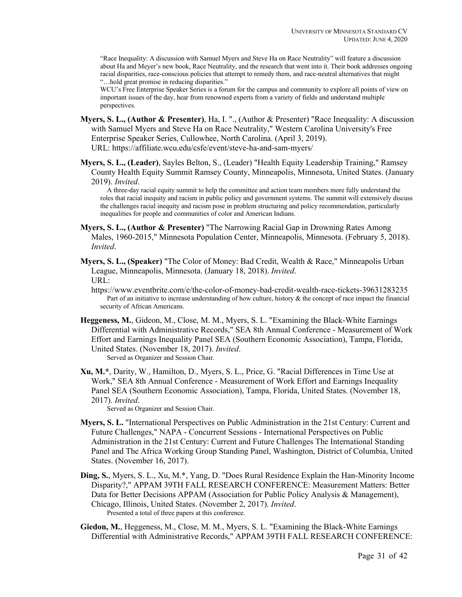"Race Inequality: A discussion with Samuel Myers and Steve Ha on Race Neutrality" will feature a discussion about Ha and Meyer's new book, Race Neutrality, and the research that went into it. Their book addresses ongoing racial disparities, race-conscious policies that attempt to remedy them, and race-neutral alternatives that might "…hold great promise in reducing disparities."

WCU's Free Enterprise Speaker Series is a forum for the campus and community to explore all points of view on important issues of the day, hear from renowned experts from a variety of fields and understand multiple perspectives.

- **Myers, S. L., (Author & Presenter)**, Ha, I. "., (Author & Presenter) "Race Inequality: A discussion with Samuel Myers and Steve Ha on Race Neutrality," Western Carolina University's Free Enterprise Speaker Series, Cullowhee, North Carolina. (April 3, 2019). URL: https://affiliate.wcu.edu/csfe/event/steve-ha-and-sam-myers/
- **Myers, S. L., (Leader)**, Sayles Belton, S., (Leader) "Health Equity Leadership Training," Ramsey County Health Equity Summit Ramsey County, Minneapolis, Minnesota, United States. (January 2019). *Invited*.

A three-day racial equity summit to help the committee and action team members more fully understand the roles that racial inequity and racism in public policy and government systems. The summit will extensively discuss the challenges racial inequity and racism pose in problem structuring and policy recommendation, particularly inequalities for people and communities of color and American Indians.

- **Myers, S. L., (Author & Presenter)** "The Narrowing Racial Gap in Drowning Rates Among Males, 1960-2015," Minnesota Population Center, Minneapolis, Minnesota. (February 5, 2018). *Invited*.
- **Myers, S. L., (Speaker)** "The Color of Money: Bad Credit, Wealth & Race," Minneapolis Urban League, Minneapolis, Minnesota. (January 18, 2018). *Invited*. URL:

https://www.eventbrite.com/e/the-color-of-money-bad-credit-wealth-race-tickets-39631283235 Part of an initiative to increase understanding of how culture, history & the concept of race impact the financial security of African Americans.

- **Heggeness, M.**, Gideon, M., Close, M. M., Myers, S. L. "Examining the Black-White Earnings Differential with Administrative Records," SEA 8th Annual Conference - Measurement of Work Effort and Earnings Inequality Panel SEA (Southern Economic Association), Tampa, Florida, United States. (November 18, 2017). *Invited*. Served as Organizer and Session Chair.
- **Xu, M.\***, Darity, W., Hamilton, D., Myers, S. L., Price, G. "Racial Differences in Time Use at Work," SEA 8th Annual Conference - Measurement of Work Effort and Earnings Inequality Panel SEA (Southern Economic Association), Tampa, Florida, United States. (November 18, 2017). *Invited*.

Served as Organizer and Session Chair.

- **Myers, S. L.** "International Perspectives on Public Administration in the 21st Century: Current and Future Challenges," NAPA - Concurrent Sessions - International Perspectives on Public Administration in the 21st Century: Current and Future Challenges The International Standing Panel and The Africa Working Group Standing Panel, Washington, District of Columbia, United States. (November 16, 2017).
- **Ding, S.**, Myers, S. L., Xu, M.\*, Yang, D. "Does Rural Residence Explain the Han-Minority Income Disparity?," APPAM 39TH FALL RESEARCH CONFERENCE: Measurement Matters: Better Data for Better Decisions APPAM (Association for Public Policy Analysis & Management), Chicago, Illinois, United States. (November 2, 2017). *Invited*. Presented a total of three papers at this conference.
- **Giedon, M.**, Heggeness, M., Close, M. M., Myers, S. L. "Examining the Black-White Earnings Differential with Administrative Records," APPAM 39TH FALL RESEARCH CONFERENCE: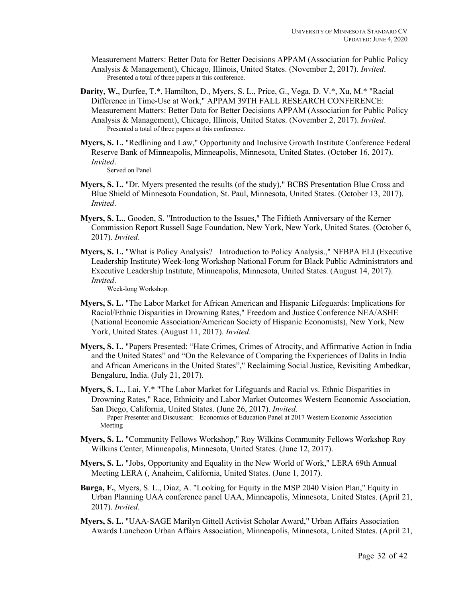Measurement Matters: Better Data for Better Decisions APPAM (Association for Public Policy Analysis & Management), Chicago, Illinois, United States. (November 2, 2017). *Invited*. Presented a total of three papers at this conference.

- **Darity, W.**, Durfee, T.\*, Hamilton, D., Myers, S. L., Price, G., Vega, D. V.\*, Xu, M.\* "Racial Difference in Time-Use at Work," APPAM 39TH FALL RESEARCH CONFERENCE: Measurement Matters: Better Data for Better Decisions APPAM (Association for Public Policy Analysis & Management), Chicago, Illinois, United States. (November 2, 2017). *Invited*. Presented a total of three papers at this conference.
- **Myers, S. L.** "Redlining and Law," Opportunity and Inclusive Growth Institute Conference Federal Reserve Bank of Minneapolis, Minneapolis, Minnesota, United States. (October 16, 2017). *Invited*.

Served on Panel.

- **Myers, S. L.** "Dr. Myers presented the results (of the study)," BCBS Presentation Blue Cross and Blue Shield of Minnesota Foundation, St. Paul, Minnesota, United States. (October 13, 2017). *Invited*.
- **Myers, S. L.**, Gooden, S. "Introduction to the Issues," The Fiftieth Anniversary of the Kerner Commission Report Russell Sage Foundation, New York, New York, United States. (October 6, 2017). *Invited*.
- **Myers, S. L.** "What is Policy Analysis? Introduction to Policy Analysis.," NFBPA ELI (Executive Leadership Institute) Week-long Workshop National Forum for Black Public Administrators and Executive Leadership Institute, Minneapolis, Minnesota, United States. (August 14, 2017). *Invited*.

Week-long Workshop.

- **Myers, S. L.** "The Labor Market for African American and Hispanic Lifeguards: Implications for Racial/Ethnic Disparities in Drowning Rates," Freedom and Justice Conference NEA/ASHE (National Economic Association/American Society of Hispanic Economists), New York, New York, United States. (August 11, 2017). *Invited*.
- **Myers, S. L.** "Papers Presented: "Hate Crimes, Crimes of Atrocity, and Affirmative Action in India and the United States" and "On the Relevance of Comparing the Experiences of Dalits in India and African Americans in the United States"," Reclaiming Social Justice, Revisiting Ambedkar, Bengaluru, India. (July 21, 2017).
- **Myers, S. L.**, Lai, Y.\* "The Labor Market for Lifeguards and Racial vs. Ethnic Disparities in Drowning Rates," Race, Ethnicity and Labor Market Outcomes Western Economic Association, San Diego, California, United States. (June 26, 2017). *Invited*. Paper Presenter and Discussant: Economics of Education Panel at 2017 Western Economic Association Meeting
- **Myers, S. L.** "Community Fellows Workshop," Roy Wilkins Community Fellows Workshop Roy Wilkins Center, Minneapolis, Minnesota, United States. (June 12, 2017).
- **Myers, S. L.** "Jobs, Opportunity and Equality in the New World of Work," LERA 69th Annual Meeting LERA (, Anaheim, California, United States. (June 1, 2017).
- **Burga, F.**, Myers, S. L., Diaz, A. "Looking for Equity in the MSP 2040 Vision Plan," Equity in Urban Planning UAA conference panel UAA, Minneapolis, Minnesota, United States. (April 21, 2017). *Invited*.
- **Myers, S. L.** "UAA-SAGE Marilyn Gittell Activist Scholar Award," Urban Affairs Association Awards Luncheon Urban Affairs Association, Minneapolis, Minnesota, United States. (April 21,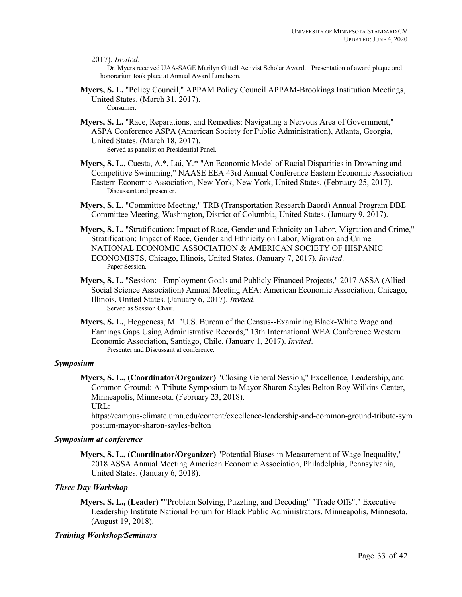#### 2017). *Invited*.

Dr. Myers received UAA-SAGE Marilyn Gittell Activist Scholar Award. Presentation of award plaque and honorarium took place at Annual Award Luncheon.

- **Myers, S. L.** "Policy Council," APPAM Policy Council APPAM-Brookings Institution Meetings, United States. (March 31, 2017). Consumer.
- **Myers, S. L.** "Race, Reparations, and Remedies: Navigating a Nervous Area of Government," ASPA Conference ASPA (American Society for Public Administration), Atlanta, Georgia, United States. (March 18, 2017).

Served as panelist on Presidential Panel.

- **Myers, S. L.**, Cuesta, A.\*, Lai, Y.\* "An Economic Model of Racial Disparities in Drowning and Competitive Swimming," NAASE EEA 43rd Annual Conference Eastern Economic Association Eastern Economic Association, New York, New York, United States. (February 25, 2017). Discussant and presenter.
- **Myers, S. L.** "Committee Meeting," TRB (Transportation Research Baord) Annual Program DBE Committee Meeting, Washington, District of Columbia, United States. (January 9, 2017).
- **Myers, S. L.** "Stratification: Impact of Race, Gender and Ethnicity on Labor, Migration and Crime," Stratification: Impact of Race, Gender and Ethnicity on Labor, Migration and Crime NATIONAL ECONOMIC ASSOCIATION & AMERICAN SOCIETY OF HISPANIC ECONOMISTS, Chicago, Illinois, United States. (January 7, 2017). *Invited*. Paper Session.
- **Myers, S. L.** "Session: Employment Goals and Publicly Financed Projects," 2017 ASSA (Allied Social Science Association) Annual Meeting AEA: American Economic Association, Chicago, Illinois, United States. (January 6, 2017). *Invited*. Served as Session Chair.
- **Myers, S. L.**, Heggeness, M. "U.S. Bureau of the Census--Examining Black-White Wage and Earnings Gaps Using Administrative Records," 13th International WEA Conference Western Economic Association, Santiago, Chile. (January 1, 2017). *Invited*. Presenter and Discussant at conference.

## *Symposium*

**Myers, S. L., (Coordinator/Organizer)** "Closing General Session," Excellence, Leadership, and Common Ground: A Tribute Symposium to Mayor Sharon Sayles Belton Roy Wilkins Center, Minneapolis, Minnesota. (February 23, 2018).

URL:

https://campus-climate.umn.edu/content/excellence-leadership-and-common-ground-tribute-sym posium-mayor-sharon-sayles-belton

# *Symposium at conference*

**Myers, S. L., (Coordinator/Organizer)** "Potential Biases in Measurement of Wage Inequality," 2018 ASSA Annual Meeting American Economic Association, Philadelphia, Pennsylvania, United States. (January 6, 2018).

# *Three Day Workshop*

**Myers, S. L., (Leader)** ""Problem Solving, Puzzling, and Decoding" "Trade Offs"," Executive Leadership Institute National Forum for Black Public Administrators, Minneapolis, Minnesota. (August 19, 2018).

## *Training Workshop/Seminars*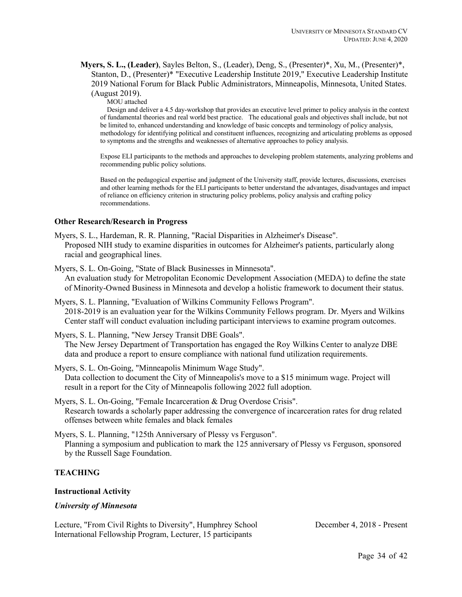**Myers, S. L., (Leader)**, Sayles Belton, S., (Leader), Deng, S., (Presenter)\*, Xu, M., (Presenter)\*, Stanton, D., (Presenter)\* "Executive Leadership Institute 2019," Executive Leadership Institute 2019 National Forum for Black Public Administrators, Minneapolis, Minnesota, United States. (August 2019). MOU attached

Design and deliver a 4.5 day-workshop that provides an executive level primer to policy analysis in the context of fundamental theories and real world best practice. The educational goals and objectives shall include, but not be limited to, enhanced understanding and knowledge of basic concepts and terminology of policy analysis, methodology for identifying political and constituent influences, recognizing and articulating problems as opposed to symptoms and the strengths and weaknesses of alternative approaches to policy analysis.

Expose ELI participants to the methods and approaches to developing problem statements, analyzing problems and recommending public policy solutions.

Based on the pedagogical expertise and judgment of the University staff, provide lectures, discussions, exercises and other learning methods for the ELI participants to better understand the advantages, disadvantages and impact of reliance on efficiency criterion in structuring policy problems, policy analysis and crafting policy recommendations.

#### **Other Research/Research in Progress**

Myers, S. L., Hardeman, R. R. Planning, "Racial Disparities in Alzheimer's Disease". Proposed NIH study to examine disparities in outcomes for Alzheimer's patients, particularly along racial and geographical lines.

Myers, S. L. On-Going, "State of Black Businesses in Minnesota". An evaluation study for Metropolitan Economic Development Association (MEDA) to define the state of Minority-Owned Business in Minnesota and develop a holistic framework to document their status.

Myers, S. L. Planning, "Evaluation of Wilkins Community Fellows Program". 2018-2019 is an evaluation year for the Wilkins Community Fellows program. Dr. Myers and Wilkins Center staff will conduct evaluation including participant interviews to examine program outcomes.

Myers, S. L. Planning, "New Jersey Transit DBE Goals". The New Jersey Department of Transportation has engaged the Roy Wilkins Center to analyze DBE data and produce a report to ensure compliance with national fund utilization requirements.

Myers, S. L. On-Going, "Minneapolis Minimum Wage Study". Data collection to document the City of Minneapolis's move to a \$15 minimum wage. Project will result in a report for the City of Minneapolis following 2022 full adoption.

Myers, S. L. On-Going, "Female Incarceration & Drug Overdose Crisis". Research towards a scholarly paper addressing the convergence of incarceration rates for drug related offenses between white females and black females

Myers, S. L. Planning, "125th Anniversary of Plessy vs Ferguson". Planning a symposium and publication to mark the 125 anniversary of Plessy vs Ferguson, sponsored by the Russell Sage Foundation.

# **TEACHING**

#### **Instructional Activity**

## *University of Minnesota*

Lecture, "From Civil Rights to Diversity", Humphrey School International Fellowship Program, Lecturer, 15 participants

December 4, 2018 - Present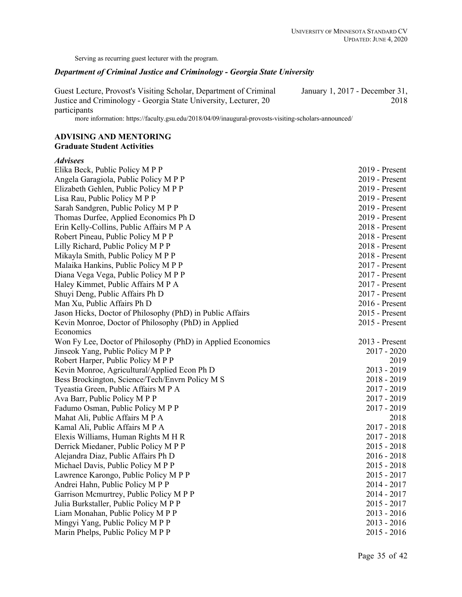Serving as recurring guest lecturer with the program.

## *Department of Criminal Justice and Criminology - Georgia State University*

Guest Lecture, Provost's Visiting Scholar, Department of Criminal Justice and Criminology - Georgia State University, Lecturer, 20 participants January 1, 2017 - December 31, 2018

more information: https://faculty.gsu.edu/2018/04/09/inaugural-provosts-visiting-scholars-announced/

# **ADVISING AND MENTORING Graduate Student Activities**

#### *Advisees*

| Elika Beck, Public Policy M P P                             | 2019 - Present   |
|-------------------------------------------------------------|------------------|
| Angela Garagiola, Public Policy M P P                       | 2019 - Present   |
| Elizabeth Gehlen, Public Policy M P P                       | 2019 - Present   |
| Lisa Rau, Public Policy M P P                               | 2019 - Present   |
| Sarah Sandgren, Public Policy M P P                         | 2019 - Present   |
| Thomas Durfee, Applied Economics Ph D                       | 2019 - Present   |
| Erin Kelly-Collins, Public Affairs M P A                    | 2018 - Present   |
| Robert Pineau, Public Policy M P P                          | 2018 - Present   |
| Lilly Richard, Public Policy M P P                          | 2018 - Present   |
| Mikayla Smith, Public Policy M P P                          | 2018 - Present   |
| Malaika Hankins, Public Policy M P P                        | $2017$ - Present |
| Diana Vega Vega, Public Policy M P P                        | 2017 - Present   |
| Haley Kimmet, Public Affairs M P A                          | 2017 - Present   |
| Shuyi Deng, Public Affairs Ph D                             | 2017 - Present   |
| Man Xu, Public Affairs Ph D                                 | $2016$ - Present |
| Jason Hicks, Doctor of Philosophy (PhD) in Public Affairs   | 2015 - Present   |
| Kevin Monroe, Doctor of Philosophy (PhD) in Applied         | 2015 - Present   |
| Economics                                                   |                  |
| Won Fy Lee, Doctor of Philosophy (PhD) in Applied Economics | 2013 - Present   |
| Jinseok Yang, Public Policy M P P                           | $2017 - 2020$    |
| Robert Harper, Public Policy M P P                          | 2019             |
| Kevin Monroe, Agricultural/Applied Econ Ph D                | $2013 - 2019$    |
| Bess Brockington, Science/Tech/Envrn Policy M S             | $2018 - 2019$    |
| Tyeastia Green, Public Affairs M P A                        | 2017 - 2019      |
| Ava Barr, Public Policy M P P                               | 2017 - 2019      |
| Fadumo Osman, Public Policy M P P                           | $2017 - 2019$    |
| Mahat Ali, Public Affairs M P A                             | 2018             |
| Kamal Ali, Public Affairs M P A                             | $2017 - 2018$    |
| Elexis Williams, Human Rights M H R                         | $2017 - 2018$    |
| Derrick Miedaner, Public Policy M P P                       | $2015 - 2018$    |
| Alejandra Diaz, Public Affairs Ph D                         | $2016 - 2018$    |
| Michael Davis, Public Policy M P P                          | $2015 - 2018$    |
| Lawrence Karongo, Public Policy M P P                       | $2015 - 2017$    |
| Andrei Hahn, Public Policy M P P                            | $2014 - 2017$    |
| Garrison Mcmurtrey, Public Policy M P P                     | 2014 - 2017      |
| Julia Burkstaller, Public Policy M P P                      | $2015 - 2017$    |
| Liam Monahan, Public Policy M P P                           | $2013 - 2016$    |
| Mingyi Yang, Public Policy M P P                            | $2013 - 2016$    |
| Marin Phelps, Public Policy M P P                           | $2015 - 2016$    |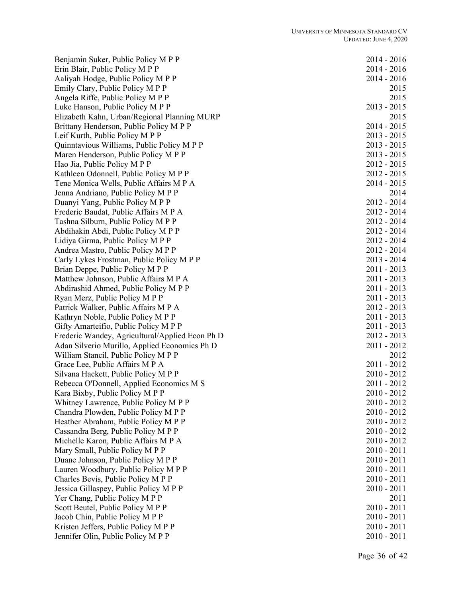Benjamin Suker, Public Policy M P P 2014 - 2016 Erin Blair, Public Policy M P P 2014 - 2016 Aaliyah Hodge, Public Policy M P P 2014 - 2016 Emily Clary, Public Policy M P P 2015 Angela Riffe, Public Policy M P P 2015 Luke Hanson, Public Policy M P P 2013 - 2015 Elizabeth Kahn, Urban/Regional Planning MURP 2015 Brittany Henderson, Public Policy M P P 2014 - 2015 Leif Kurth, Public Policy M P P 2013 - 2015 Quinntavious Williams, Public Policy M P P 2013 - 2015 Maren Henderson, Public Policy M P P 2013 - 2015 Hao Jia, Public Policy M P P 2012 - 2015 Kathleen Odonnell, Public Policy M P P 2012 - 2015 Tene Monica Wells, Public Affairs M P A 2014 - 2015 Jenna Andriano, Public Policy M P P 2014 Duanyi Yang, Public Policy M P P 2012 - 2014 Frederic Baudat, Public Affairs M P A 2012 - 2014 Tashna Silburn, Public Policy M P P 2012 - 2014 Abdihakin Abdi, Public Policy M P P 2012 - 2014 Lidiya Girma, Public Policy M P P 2012 - 2014 Andrea Mastro, Public Policy M P P 2012 - 2014 Carly Lykes Frostman, Public Policy M P P 2013 - 2014 Brian Deppe, Public Policy M P P 2011 - 2013 Matthew Johnson, Public Affairs M P A 2011 - 2013 Abdirashid Ahmed, Public Policy M P P 2011 - 2013 Ryan Merz, Public Policy M P P 2011 - 2013 Patrick Walker, Public Affairs M P A 2012 - 2013 Kathryn Noble, Public Policy M P P 2011 - 2013 Gifty Amarteifio, Public Policy M P P 2011 - 2013 Frederic Wandey, Agricultural/Applied Econ Ph D 2012 - 2013 Adan Silverio Murillo, Applied Economics Ph D 2011 - 2012 William Stancil, Public Policy M P P 2012 Grace Lee, Public Affairs M P A 2011 - 2012 Silvana Hackett, Public Policy M P P 2010 - 2012 Rebecca O'Donnell, Applied Economics M S 2011 - 2012 Kara Bixby, Public Policy M P P 2010 - 2012 Whitney Lawrence, Public Policy M P P 2010 - 2012 Chandra Plowden, Public Policy M P P 2010 - 2012 Heather Abraham, Public Policy M P P 2010 - 2012 Cassandra Berg, Public Policy M P P 2010 - 2012 Michelle Karon, Public Affairs M P A 2010 - 2012 Mary Small, Public Policy M P P 2010 - 2011 Duane Johnson, Public Policy M P P 2010 - 2011 Lauren Woodbury, Public Policy M P P 2010 - 2011 Charles Bevis, Public Policy M P P 2010 - 2011 Jessica Gillaspey, Public Policy M P P 2010 - 2011 Yer Chang, Public Policy M P P 2011 Scott Beutel, Public Policy M P P 2010 - 2011 Jacob Chin, Public Policy M P P 2011 Kristen Jeffers, Public Policy M P P 2010 - 2011 Jennifer Olin, Public Policy M P P 2010 - 2011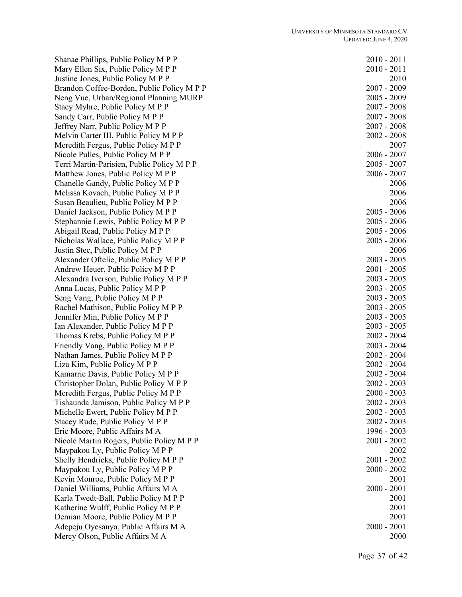Shanae Phillips, Public Policy M P P Mary Ellen Six, Public Policy M P P Justine Jones, Public Policy M P P Brandon Coffee -Borden, Public Policy M P P 2007 Neng Vue, Urban/Regional Planning MURP Stacy Myhre, Public Policy M P P Sandy Carr, Public Policy M P P Jeffrey Narr, Public Policy M P P Melvin Carter III, Public Policy M P P Meredith Fergus, Public Policy M P P Nicole Pulles, Public Policy M P P Terri Martin -Parisien, Public Policy M P P 2005 Matthew Jones, Public Policy M P P Chanelle Gandy, Public Policy M P P Melissa Kovach, Public Policy M P P Susan Beaulieu, Public Policy M P P Daniel Jackson, Public Policy M P P Stephannie Lewis, Public Policy M P P Abigail Read, Public Policy M P P Nicholas Wallace, Public Policy M P P Justin Stec, Public Policy M P P Alexander Oftelie, Public Policy M P P Andrew Heuer, Public Policy M P P Alexandra Iverson, Public Policy M P P Anna Lucas, Public Policy M P P Seng Vang, Public Policy M P P Rachel Mathison, Public Policy M P P Jennifer Min, Public Policy M P P Ian Alexander, Public Policy M P P Thomas Krebs, Public Policy M P P Friendly Vang, Public Policy M P P Nathan James, Public Policy M P P Liza Kim, Public Policy M P P Kamarrie Davis, Public Policy M P P Christopher Dolan, Public Policy M P P Meredith Fergus, Public Policy M P P Tishaunda Jamison, Public Policy M P P Michelle Ewert, Public Policy M P P Stacey Rude, Public Policy M P P Eric Moore, Public Affairs M A Nicole Martin Rogers, Public Policy M P P Maypakou Ly, Public Policy M P P Shelly Hendricks, Public Policy M P P Maypakou Ly, Public Policy M P P Kevin Monroe, Public Policy M P P Daniel Williams, Public Affairs M A Karla Twedt-Ball, Public Policy M P P 2001 Katherine Wulff, Public Policy  $M P P$ Demian Moore, Public Policy M P P Adepeju Oyesanya, Public Affairs M A Mercy Olson, Public Affairs M A

| 2010          |                | 2011 |
|---------------|----------------|------|
| 2010          | $\overline{a}$ | 2011 |
|               |                |      |
|               |                | 2010 |
| 2007          | -              | 2009 |
|               |                |      |
| 2005          | $\overline{a}$ | 2009 |
| 2007          |                | 2008 |
|               |                |      |
| 2007          |                | 2008 |
| 2007          |                | 2008 |
|               | $\overline{a}$ |      |
| 2002          |                | 2008 |
|               |                | 2007 |
|               |                |      |
| 2006          | $\overline{a}$ | 2007 |
| 2005          | $\overline{a}$ | 2007 |
| 2006          | $\overline{a}$ |      |
|               |                | 2007 |
|               |                | 2006 |
|               |                |      |
|               |                | 2006 |
|               |                | 2006 |
| 2005          |                | 2006 |
|               | $\overline{a}$ |      |
| 2005          | $\overline{a}$ | 2006 |
| 2005          | $\overline{a}$ | 2006 |
|               |                |      |
| 2005          | $\overline{a}$ | 2006 |
|               |                | 2006 |
|               |                |      |
| 2003          | -              | 2005 |
| 2001          | $\overline{a}$ | 2005 |
|               |                |      |
| 2003          |                | 2005 |
| 2003          |                | 2005 |
|               |                |      |
| 2003          |                | 2005 |
| 2003          |                | 2005 |
|               |                |      |
| 2003          |                | 2005 |
| 2003          | $\overline{a}$ | 2005 |
|               |                |      |
| 2002          | $\overline{a}$ | 2004 |
| 2003          | $\overline{a}$ | 2004 |
| 2002          | $\overline{a}$ | 2004 |
|               |                |      |
| 2002          | $\overline{a}$ | 2004 |
| 2002          |                | 2004 |
|               |                |      |
| 2002          |                | 2003 |
| 2000          |                | 2003 |
|               |                |      |
| $2002 -$      |                | 2003 |
| $2002 -$      |                | 2003 |
|               |                |      |
| $2002 -$      |                | 2003 |
| 1996 -        |                | 2003 |
|               |                |      |
| $2001 -$      |                | 2002 |
|               |                | 2002 |
|               |                |      |
| $2001 -$      |                | 2002 |
| $2000 -$      |                | 2002 |
|               |                |      |
|               |                | 2001 |
| $2000 -$      |                | 2001 |
|               |                |      |
|               |                | 2001 |
|               |                | 2001 |
|               |                |      |
|               |                | 2001 |
| $2000 - 2001$ |                |      |
|               |                | 2000 |
|               |                |      |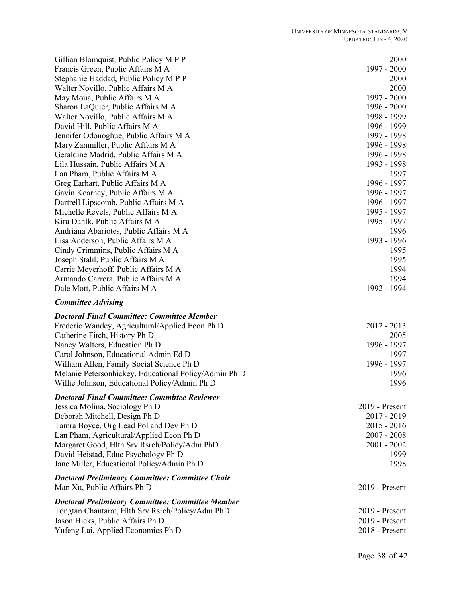| Gillian Blomquist, Public Policy M P P                                                                                                                                | 2000                             |
|-----------------------------------------------------------------------------------------------------------------------------------------------------------------------|----------------------------------|
| Francis Green, Public Affairs M A                                                                                                                                     | 1997 - 2000                      |
| Stephanie Haddad, Public Policy M P P                                                                                                                                 | 2000                             |
| Walter Novillo, Public Affairs M A                                                                                                                                    | 2000                             |
| May Moua, Public Affairs M A                                                                                                                                          | 1997 - 2000                      |
| Sharon LaQuier, Public Affairs M A                                                                                                                                    | 1996 - 2000                      |
| Walter Novillo, Public Affairs M A                                                                                                                                    | 1998 - 1999                      |
| David Hill, Public Affairs M A                                                                                                                                        | 1996 - 1999                      |
| Jennifer Odonoghue, Public Affairs M A                                                                                                                                | 1997 - 1998                      |
| Mary Zanmiller, Public Affairs M A                                                                                                                                    | 1996 - 1998                      |
| Geraldine Madrid, Public Affairs M A                                                                                                                                  | 1996 - 1998                      |
| Lila Hussain, Public Affairs M A                                                                                                                                      | 1993 - 1998                      |
| Lan Pham, Public Affairs M A                                                                                                                                          | 1997                             |
| Greg Earhart, Public Affairs M A                                                                                                                                      | 1996 - 1997                      |
| Gavin Kearney, Public Affairs M A                                                                                                                                     | 1996 - 1997                      |
| Dartrell Lipscomb, Public Affairs M A<br>Michelle Revels, Public Affairs M A                                                                                          | 1996 - 1997<br>1995 - 1997       |
| Kira Dahlk, Public Affairs M A                                                                                                                                        | 1995 - 1997                      |
| Andriana Abariotes, Public Affairs M A                                                                                                                                | 1996                             |
| Lisa Anderson, Public Affairs M A                                                                                                                                     | 1993 - 1996                      |
| Cindy Crimmins, Public Affairs M A                                                                                                                                    | 1995                             |
| Joseph Stahl, Public Affairs M A                                                                                                                                      | 1995                             |
| Carrie Meyerhoff, Public Affairs M A                                                                                                                                  | 1994                             |
| Armando Carrera, Public Affairs M A                                                                                                                                   | 1994                             |
| Dale Mott, Public Affairs M A                                                                                                                                         | 1992 - 1994                      |
|                                                                                                                                                                       |                                  |
| <b>Committee Advising</b>                                                                                                                                             |                                  |
|                                                                                                                                                                       |                                  |
| <b>Doctoral Final Committee: Committee Member</b>                                                                                                                     |                                  |
| Frederic Wandey, Agricultural/Applied Econ Ph D                                                                                                                       | $2012 - 2013$                    |
| Catherine Fitch, History Ph D                                                                                                                                         | 2005                             |
| Nancy Walters, Education Ph D<br>Carol Johnson, Educational Admin Ed D                                                                                                | 1996 - 1997<br>1997              |
|                                                                                                                                                                       | 1996 - 1997                      |
| William Allen, Family Social Science Ph D<br>Melanie Petersonhickey, Educational Policy/Admin Ph D                                                                    | 1996                             |
| Willie Johnson, Educational Policy/Admin Ph D                                                                                                                         | 1996                             |
| <b>Doctoral Final Committee: Committee Reviewer</b>                                                                                                                   |                                  |
| Jessica Molina, Sociology Ph D                                                                                                                                        | 2019 - Present                   |
| Deborah Mitchell, Design Ph D                                                                                                                                         | 2017 - 2019                      |
| Tamra Boyce, Org Lead Pol and Dev Ph D                                                                                                                                | $2015 - 2016$                    |
| Lan Pham, Agricultural/Applied Econ Ph D                                                                                                                              | $2007 - 2008$                    |
| Margaret Good, Hlth Srv Rsrch/Policy/Adm PhD                                                                                                                          | $2001 - 2002$                    |
| David Heistad, Educ Psychology Ph D                                                                                                                                   | 1999                             |
| Jane Miller, Educational Policy/Admin Ph D                                                                                                                            | 1998                             |
|                                                                                                                                                                       |                                  |
| Man Xu, Public Affairs Ph D                                                                                                                                           | 2019 - Present                   |
|                                                                                                                                                                       |                                  |
| <b>Doctoral Preliminary Committee: Committee Chair</b><br><b>Doctoral Preliminary Committee: Committee Member</b><br>Tongtan Chantarat, Hlth Srv Rsrch/Policy/Adm PhD | 2019 - Present                   |
| Jason Hicks, Public Affairs Ph D<br>Yufeng Lai, Applied Economics Ph D                                                                                                | 2019 - Present<br>2018 - Present |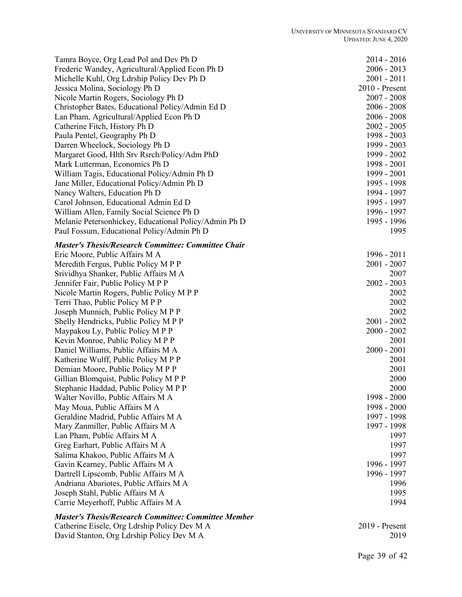| Tamra Boyce, Org Lead Pol and Dev Ph D                      | 2014 - 2016    |
|-------------------------------------------------------------|----------------|
| Frederic Wandey, Agricultural/Applied Econ Ph D             | $2006 - 2013$  |
| Michelle Kuhl, Org Ldrship Policy Dev Ph D                  | $2001 - 2011$  |
| Jessica Molina, Sociology Ph D                              | 2010 - Present |
| Nicole Martin Rogers, Sociology Ph D                        | $2007 - 2008$  |
| Christopher Bates, Educational Policy/Admin Ed D            | $2006 - 2008$  |
| Lan Pham, Agricultural/Applied Econ Ph D                    | $2006 - 2008$  |
| Catherine Fitch, History Ph D                               | $2002 - 2005$  |
| Paula Pentel, Geography Ph D                                | 1998 - 2003    |
| Darren Wheelock, Sociology Ph D                             | 1999 - 2003    |
| Margaret Good, Hlth Srv Rsrch/Policy/Adm PhD                | 1999 - 2002    |
| Mark Lutterman, Economics Ph D                              | 1998 - 2001    |
| William Tagis, Educational Policy/Admin Ph D                | 1999 - 2001    |
| Jane Miller, Educational Policy/Admin Ph D                  | 1995 - 1998    |
| Nancy Walters, Education Ph D                               | 1994 - 1997    |
| Carol Johnson, Educational Admin Ed D                       | 1995 - 1997    |
| William Allen, Family Social Science Ph D                   | 1996 - 1997    |
| Melanie Petersonhickey, Educational Policy/Admin Ph D       | 1995 - 1996    |
| Paul Fossum, Educational Policy/Admin Ph D                  | 1995           |
| <b>Master's Thesis/Research Committee: Committee Chair</b>  |                |
| Eric Moore, Public Affairs M A                              | 1996 - 2011    |
| Meredith Fergus, Public Policy M P P                        | $2001 - 2007$  |
| Srividhya Shanker, Public Affairs M A                       | 2007           |
| Jennifer Fair, Public Policy M P P                          | $2002 - 2003$  |
| Nicole Martin Rogers, Public Policy M P P                   | 2002           |
| Terri Thao, Public Policy M P P                             | 2002           |
| Joseph Munnich, Public Policy M P P                         | 2002           |
| Shelly Hendricks, Public Policy M P P                       | $2001 - 2002$  |
| Maypakou Ly, Public Policy M P P                            | $2000 - 2002$  |
| Kevin Monroe, Public Policy M P P                           | 2001           |
| Daniel Williams, Public Affairs M A                         | $2000 - 2001$  |
| Katherine Wulff, Public Policy M P P                        | 2001           |
| Demian Moore, Public Policy M P P                           | 2001           |
| Gillian Blomquist, Public Policy M P P                      | 2000           |
| Stephanie Haddad, Public Policy M P P                       | 2000           |
| Walter Novillo, Public Affairs M A                          | 1998 - 2000    |
| May Moua, Public Affairs M A                                | 1998 - 2000    |
| Geraldine Madrid, Public Affairs M A                        | 1997 - 1998    |
| Mary Zanmiller, Public Affairs M A                          | 1997 - 1998    |
| Lan Pham, Public Affairs M A                                | 1997           |
| Greg Earhart, Public Affairs M A                            | 1997           |
| Salima Khakoo, Public Affairs M A                           | 1997           |
| Gavin Kearney, Public Affairs M A                           | 1996 - 1997    |
| Dartrell Lipscomb, Public Affairs M A                       | 1996 - 1997    |
| Andriana Abariotes, Public Affairs M A                      | 1996           |
| Joseph Stahl, Public Affairs M A                            | 1995           |
| Carrie Meyerhoff, Public Affairs M A                        | 1994           |
| <b>Master's Thesis/Research Committee: Committee Member</b> |                |

Catherine Eisele, Org Ldrship Policy Dev M A 2019 - Present David Stanton, Org Ldrship Policy Dev M A 2019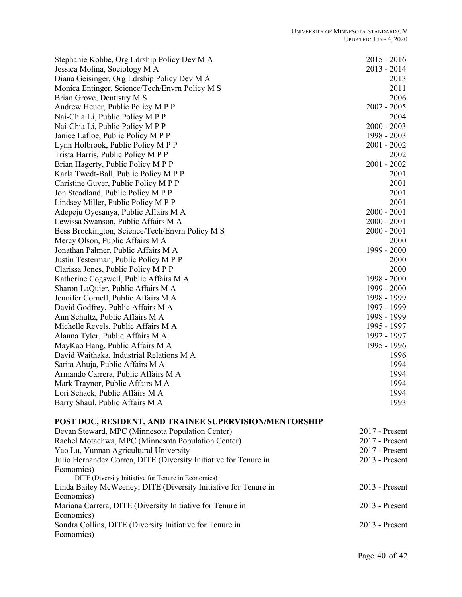| Stephanie Kobbe, Org Ldrship Policy Dev M A            | $2015 - 2016$ |
|--------------------------------------------------------|---------------|
| Jessica Molina, Sociology M A                          | $2013 - 2014$ |
| Diana Geisinger, Org Ldrship Policy Dev M A            | 2013          |
| Monica Entinger, Science/Tech/Envrn Policy M S         | 2011          |
| Brian Grove, Dentistry M S                             | 2006          |
| Andrew Heuer, Public Policy M P P                      | $2002 - 2005$ |
| Nai-Chia Li, Public Policy M P P                       | 2004          |
| Nai-Chia Li, Public Policy M P P                       | $2000 - 2003$ |
| Janice Lafloe, Public Policy M P P                     | 1998 - 2003   |
| Lynn Holbrook, Public Policy M P P                     | $2001 - 2002$ |
| Trista Harris, Public Policy M P P                     | 2002          |
| Brian Hagerty, Public Policy M P P                     | $2001 - 2002$ |
| Karla Twedt-Ball, Public Policy M P P                  | 2001          |
| Christine Guyer, Public Policy M P P                   | 2001          |
| Jon Steadland, Public Policy M P P                     | 2001          |
| Lindsey Miller, Public Policy M P P                    | 2001          |
| Adepeju Oyesanya, Public Affairs M A                   | $2000 - 2001$ |
| Lewissa Swanson, Public Affairs M A                    | $2000 - 2001$ |
| Bess Brockington, Science/Tech/Envrn Policy M S        | $2000 - 2001$ |
| Mercy Olson, Public Affairs M A                        | 2000          |
| Jonathan Palmer, Public Affairs M A                    | 1999 - 2000   |
| Justin Testerman, Public Policy M P P                  | 2000          |
| Clarissa Jones, Public Policy M P P                    | 2000          |
| Katherine Cogswell, Public Affairs M A                 | 1998 - 2000   |
| Sharon LaQuier, Public Affairs M A                     | 1999 - 2000   |
| Jennifer Cornell, Public Affairs M A                   | 1998 - 1999   |
| David Godfrey, Public Affairs M A                      | 1997 - 1999   |
| Ann Schultz, Public Affairs M A                        | 1998 - 1999   |
| Michelle Revels, Public Affairs M A                    | 1995 - 1997   |
| Alanna Tyler, Public Affairs M A                       | 1992 - 1997   |
| MayKao Hang, Public Affairs M A                        | 1995 - 1996   |
| David Waithaka, Industrial Relations M A               | 1996          |
| Sarita Ahuja, Public Affairs M A                       | 1994          |
| Armando Carrera, Public Affairs M A                    | 1994          |
| Mark Traynor, Public Affairs M A                       | 1994          |
| Lori Schack, Public Affairs M A                        | 1994          |
| Barry Shaul, Public Affairs M A                        | 1993          |
| POST DOC, RESIDENT, AND TRAINEE SUPERVISION/MENTORSHIP |               |

| Devan Steward, MPC (Minnesota Population Center)                 | $2017$ - Present |
|------------------------------------------------------------------|------------------|
| Rachel Motachwa, MPC (Minnesota Population Center)               | $2017$ - Present |
| Yao Lu, Yunnan Agricultural University                           | $2017$ - Present |
| Julio Hernandez Correa, DITE (Diversity Initiative for Tenure in | $2013$ - Present |
| Economics)                                                       |                  |
| DITE (Diversity Initiative for Tenure in Economics)              |                  |
| Linda Bailey McWeeney, DITE (Diversity Initiative for Tenure in  | $2013$ - Present |
| Economics)                                                       |                  |
| Mariana Carrera, DITE (Diversity Initiative for Tenure in        | $2013$ - Present |
| Economics)                                                       |                  |
| Sondra Collins, DITE (Diversity Initiative for Tenure in         | $2013$ - Present |
| Economics)                                                       |                  |
|                                                                  |                  |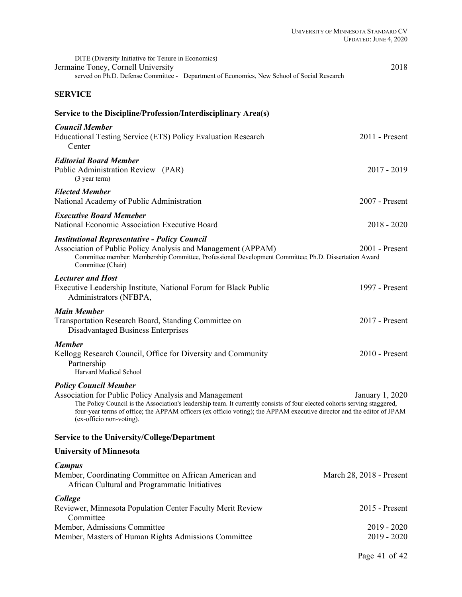| DITE (Diversity Initiative for Tenure in Economics)<br>Jermaine Toney, Cornell University<br>served on Ph.D. Defense Committee - Department of Economics, New School of Social Research                                                                                                                                                                                  | 2018                           |
|--------------------------------------------------------------------------------------------------------------------------------------------------------------------------------------------------------------------------------------------------------------------------------------------------------------------------------------------------------------------------|--------------------------------|
| <b>SERVICE</b>                                                                                                                                                                                                                                                                                                                                                           |                                |
| Service to the Discipline/Profession/Interdisciplinary Area(s)                                                                                                                                                                                                                                                                                                           |                                |
| <b>Council Member</b><br>Educational Testing Service (ETS) Policy Evaluation Research<br>Center                                                                                                                                                                                                                                                                          | $2011$ - Present               |
| <b>Editorial Board Member</b><br>Public Administration Review (PAR)<br>(3 year term)                                                                                                                                                                                                                                                                                     | $2017 - 2019$                  |
| <b>Elected Member</b><br>National Academy of Public Administration                                                                                                                                                                                                                                                                                                       | 2007 - Present                 |
| <b>Executive Board Memeber</b><br>National Economic Association Executive Board                                                                                                                                                                                                                                                                                          | $2018 - 2020$                  |
| <b>Institutional Representative - Policy Council</b><br>Association of Public Policy Analysis and Management (APPAM)<br>Committee member: Membership Committee, Professional Development Committee; Ph.D. Dissertation Award<br>Committee (Chair)                                                                                                                        | $2001$ - Present               |
| <b>Lecturer and Host</b><br>Executive Leadership Institute, National Forum for Black Public<br>Administrators (NFBPA,                                                                                                                                                                                                                                                    | 1997 - Present                 |
| <b>Main Member</b><br>Transportation Research Board, Standing Committee on<br>Disadvantaged Business Enterprises                                                                                                                                                                                                                                                         | 2017 - Present                 |
| <b>Member</b><br>Kellogg Research Council, Office for Diversity and Community<br>Partnership<br>Harvard Medical School                                                                                                                                                                                                                                                   | $2010$ - Present               |
| <b>Policy Council Member</b><br>Association for Public Policy Analysis and Management<br>The Policy Council is the Association's leadership team. It currently consists of four elected cohorts serving staggered,<br>four-year terms of office; the APPAM officers (ex officio voting); the APPAM executive director and the editor of JPAM<br>(ex-officio non-voting). | January 1, 2020                |
| Service to the University/College/Department                                                                                                                                                                                                                                                                                                                             |                                |
| <b>University of Minnesota</b>                                                                                                                                                                                                                                                                                                                                           |                                |
| <b>Campus</b><br>Member, Coordinating Committee on African American and<br>African Cultural and Programmatic Initiatives                                                                                                                                                                                                                                                 | March 28, 2018 - Present       |
| College<br>Reviewer, Minnesota Population Center Faculty Merit Review<br>Committee                                                                                                                                                                                                                                                                                       | $2015$ - Present               |
| Member, Admissions Committee<br>Member, Masters of Human Rights Admissions Committee                                                                                                                                                                                                                                                                                     | $2019 - 2020$<br>$2019 - 2020$ |
|                                                                                                                                                                                                                                                                                                                                                                          | Page 41 of 42                  |